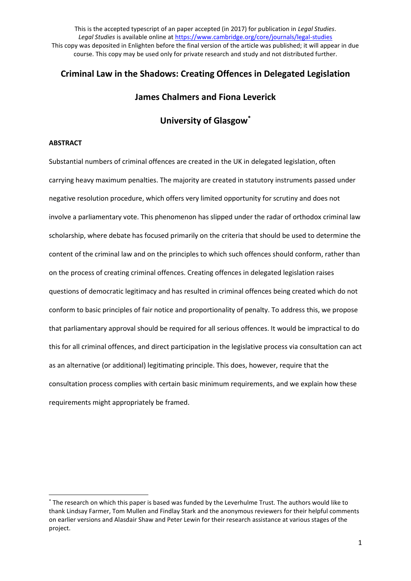# **Criminal Law in the Shadows: Creating Offences in Delegated Legislation**

# **James Chalmers and Fiona Leverick**

# **University of Glasgow\***

#### **ABSTRACT**

 $\overline{a}$ 

Substantial numbers of criminal offences are created in the UK in delegated legislation, often carrying heavy maximum penalties. The majority are created in statutory instruments passed under negative resolution procedure, which offers very limited opportunity for scrutiny and does not involve a parliamentary vote. This phenomenon has slipped under the radar of orthodox criminal law scholarship, where debate has focused primarily on the criteria that should be used to determine the content of the criminal law and on the principles to which such offences should conform, rather than on the process of creating criminal offences. Creating offences in delegated legislation raises questions of democratic legitimacy and has resulted in criminal offences being created which do not conform to basic principles of fair notice and proportionality of penalty. To address this, we propose that parliamentary approval should be required for all serious offences. It would be impractical to do this for all criminal offences, and direct participation in the legislative process via consultation can act as an alternative (or additional) legitimating principle. This does, however, require that the consultation process complies with certain basic minimum requirements, and we explain how these requirements might appropriately be framed.

<sup>\*</sup> The research on which this paper is based was funded by the Leverhulme Trust. The authors would like to thank Lindsay Farmer, Tom Mullen and Findlay Stark and the anonymous reviewers for their helpful comments on earlier versions and Alasdair Shaw and Peter Lewin for their research assistance at various stages of the project.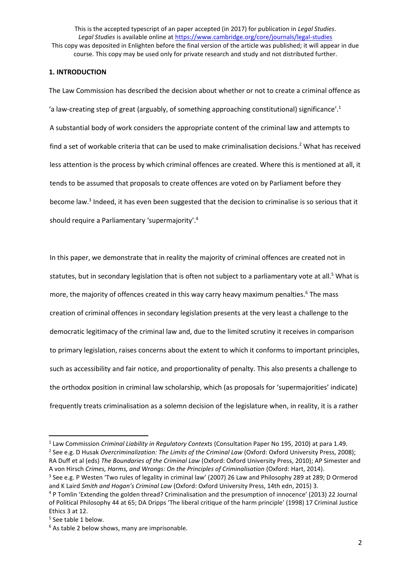# **1. INTRODUCTION**

The Law Commission has described the decision about whether or not to create a criminal offence as 'a law-creating step of great (arguably, of something approaching constitutional) significance'. 1 A substantial body of work considers the appropriate content of the criminal law and attempts to find a set of workable criteria that can be used to make criminalisation decisions.<sup>2</sup> What has received less attention is the process by which criminal offences are created. Where this is mentioned at all, it tends to be assumed that proposals to create offences are voted on by Parliament before they become law. 3 Indeed, it has even been suggested that the decision to criminalise is so serious that it should require a Parliamentary 'supermajority'. 4

In this paper, we demonstrate that in reality the majority of criminal offences are created not in statutes, but in secondary legislation that is often not subject to a parliamentary vote at all.<sup>5</sup> What is more, the majority of offences created in this way carry heavy maximum penalties.<sup>6</sup> The mass creation of criminal offences in secondary legislation presents at the very least a challenge to the democratic legitimacy of the criminal law and, due to the limited scrutiny it receives in comparison to primary legislation, raises concerns about the extent to which it conforms to important principles, such as accessibility and fair notice, and proportionality of penalty. This also presents a challenge to the orthodox position in criminal law scholarship, which (as proposals for 'supermajorities' indicate) frequently treats criminalisation as a solemn decision of the legislature when, in reality, it is a rather

A von Hirsch *Crimes, Harms, and Wrongs: On the Principles of Criminalisation* (Oxford: Hart, 2014). <sup>3</sup> See e.g. P Westen 'Two rules of legality in criminal law' (2007) 26 Law and Philosophy 289 at 289; D Ormerod and K Laird *Smith and Hogan's Criminal Law* (Oxford: Oxford University Press, 14th edn, 2015) 3.

 $\overline{a}$ 

<sup>1</sup> Law Commission *Criminal Liability in Regulatory Contexts* (Consultation Paper No 195, 2010) at para 1.49. 2 See e.g. D Husak *Overcriminalization: The Limits of the Criminal Law* (Oxford: Oxford University Press, 2008); RA Duff et al (eds) *The Boundaries of the Criminal Law* (Oxford: Oxford University Press, 2010); AP Simester and

<sup>4</sup> P Tomlin 'Extending the golden thread? Criminalisation and the presumption of innocence' (2013) 22 Journal of Political Philosophy 44 at 65; DA Dripps 'The liberal critique of the harm principle' (1998) 17 Criminal Justice Ethics 3 at 12.

<sup>5</sup> See table 1 below.

<sup>&</sup>lt;sup>6</sup> As table 2 below shows, many are imprisonable.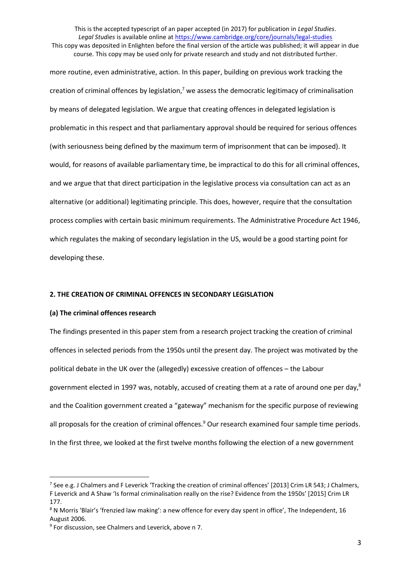This is the accepted typescript of an paper accepted (in 2017) for publication in *Legal Studies*. Legal Studies is available online at<https://www.cambridge.org/core/journals/legal-studies> This copy was deposited in Enlighten before the final version of the article was published; it will appear in due

course. This copy may be used only for private research and study and not distributed further.

more routine, even administrative, action. In this paper, building on previous work tracking the creation of criminal offences by legislation, $7$  we assess the democratic legitimacy of criminalisation by means of delegated legislation. We argue that creating offences in delegated legislation is problematic in this respect and that parliamentary approval should be required for serious offences (with seriousness being defined by the maximum term of imprisonment that can be imposed). It would, for reasons of available parliamentary time, be impractical to do this for all criminal offences, and we argue that that direct participation in the legislative process via consultation can act as an alternative (or additional) legitimating principle. This does, however, require that the consultation process complies with certain basic minimum requirements. The Administrative Procedure Act 1946, which regulates the making of secondary legislation in the US, would be a good starting point for developing these.

#### **2. THE CREATION OF CRIMINAL OFFENCES IN SECONDARY LEGISLATION**

#### **(a) The criminal offences research**

**.** 

The findings presented in this paper stem from a research project tracking the creation of criminal offences in selected periods from the 1950s until the present day. The project was motivated by the political debate in the UK over the (allegedly) excessive creation of offences – the Labour government elected in 1997 was, notably, accused of creating them at a rate of around one per day,<sup>8</sup> and the Coalition government created a "gateway" mechanism for the specific purpose of reviewing all proposals for the creation of criminal offences.<sup>9</sup> Our research examined four sample time periods. In the first three, we looked at the first twelve months following the election of a new government

<sup>&</sup>lt;sup>7</sup> See e.g. J Chalmers and F Leverick 'Tracking the creation of criminal offences' [2013] Crim LR 543; J Chalmers, F Leverick and A Shaw 'Is formal criminalisation really on the rise? Evidence from the 1950s' [2015] Crim LR 177.

<sup>8</sup> N Morris 'Blair's 'frenzied law making': a new offence for every day spent in office', The Independent, 16 August 2006.

<sup>&</sup>lt;sup>9</sup> For discussion, see Chalmers and Leverick, above n 7.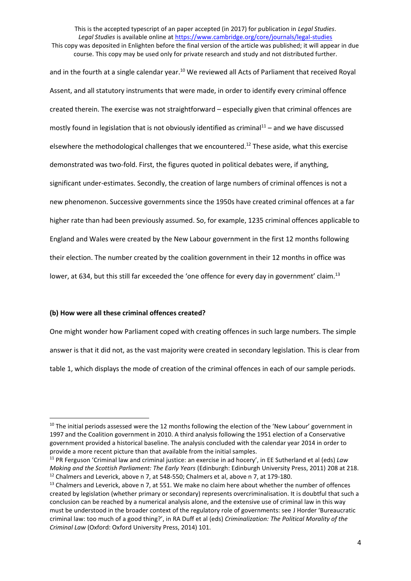This is the accepted typescript of an paper accepted (in 2017) for publication in *Legal Studies*. *Legal Studies* is available online at<https://www.cambridge.org/core/journals/legal-studies>

This copy was deposited in Enlighten before the final version of the article was published; it will appear in due course. This copy may be used only for private research and study and not distributed further.

and in the fourth at a single calendar year.<sup>10</sup> We reviewed all Acts of Parliament that received Royal Assent, and all statutory instruments that were made, in order to identify every criminal offence created therein. The exercise was not straightforward – especially given that criminal offences are mostly found in legislation that is not obviously identified as criminal $11 -$  and we have discussed elsewhere the methodological challenges that we encountered.<sup>12</sup> These aside, what this exercise demonstrated was two-fold. First, the figures quoted in political debates were, if anything, significant under-estimates. Secondly, the creation of large numbers of criminal offences is not a new phenomenon. Successive governments since the 1950s have created criminal offences at a far higher rate than had been previously assumed. So, for example, 1235 criminal offences applicable to England and Wales were created by the New Labour government in the first 12 months following their election. The number created by the coalition government in their 12 months in office was lower, at 634, but this still far exceeded the 'one offence for every day in government' claim.<sup>13</sup>

## **(b) How were all these criminal offences created?**

1

One might wonder how Parliament coped with creating offences in such large numbers. The simple answer is that it did not, as the vast majority were created in secondary legislation. This is clear from table 1, which displays the mode of creation of the criminal offences in each of our sample periods.

<sup>&</sup>lt;sup>10</sup> The initial periods assessed were the 12 months following the election of the 'New Labour' government in 1997 and the Coalition government in 2010. A third analysis following the 1951 election of a Conservative government provided a historical baseline. The analysis concluded with the calendar year 2014 in order to provide a more recent picture than that available from the initial samples.

<sup>11</sup> PR Ferguson 'Criminal law and criminal justice: an exercise in ad hocery', in EE Sutherland et al (eds) *Law Making and the Scottish Parliament: The Early Years* (Edinburgh: Edinburgh University Press, 2011) 208 at 218.  $12$  Chalmers and Leverick, above n 7, at 548-550; Chalmers et al, above n 7, at 179-180.

<sup>&</sup>lt;sup>13</sup> Chalmers and Leverick, above n 7, at 551. We make no claim here about whether the number of offences created by legislation (whether primary or secondary) represents overcriminalisation. It is doubtful that such a conclusion can be reached by a numerical analysis alone, and the extensive use of criminal law in this way must be understood in the broader context of the regulatory role of governments: see J Horder 'Bureaucratic criminal law: too much of a good thing?', in RA Duff et al (eds) *Criminalization: The Political Morality of the Criminal Law* (Oxford: Oxford University Press, 2014) 101.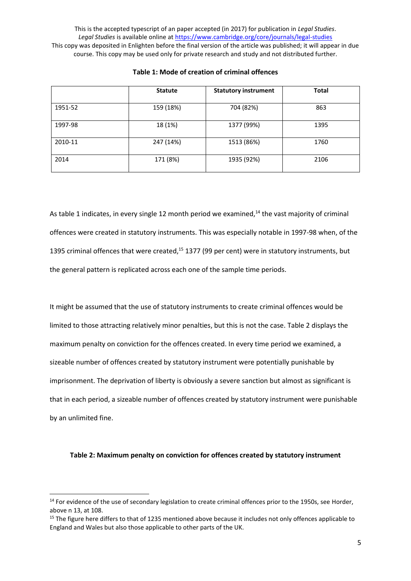|         | <b>Statute</b> | <b>Statutory instrument</b> | <b>Total</b> |
|---------|----------------|-----------------------------|--------------|
| 1951-52 | 159 (18%)      | 704 (82%)                   | 863          |
| 1997-98 | 18 (1%)        | 1377 (99%)                  | 1395         |
| 2010-11 | 247 (14%)      | 1513 (86%)                  | 1760         |
| 2014    | 171 (8%)       | 1935 (92%)                  | 2106         |

## **Table 1: Mode of creation of criminal offences**

As table 1 indicates, in every single 12 month period we examined, $14$  the vast majority of criminal offences were created in statutory instruments. This was especially notable in 1997-98 when, of the 1395 criminal offences that were created,<sup>15</sup> 1377 (99 per cent) were in statutory instruments, but the general pattern is replicated across each one of the sample time periods.

It might be assumed that the use of statutory instruments to create criminal offences would be limited to those attracting relatively minor penalties, but this is not the case. Table 2 displays the maximum penalty on conviction for the offences created. In every time period we examined, a sizeable number of offences created by statutory instrument were potentially punishable by imprisonment. The deprivation of liberty is obviously a severe sanction but almost as significant is that in each period, a sizeable number of offences created by statutory instrument were punishable by an unlimited fine.

#### **Table 2: Maximum penalty on conviction for offences created by statutory instrument**

<sup>&</sup>lt;sup>14</sup> For evidence of the use of secondary legislation to create criminal offences prior to the 1950s, see Horder, above n 13, at 108.

<sup>&</sup>lt;sup>15</sup> The figure here differs to that of 1235 mentioned above because it includes not only offences applicable to England and Wales but also those applicable to other parts of the UK.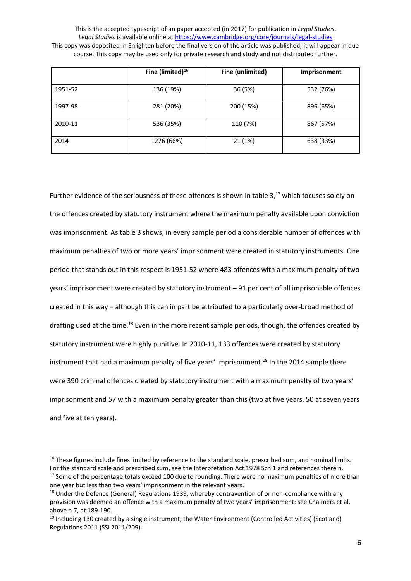|         | Fine (limited) <sup>16</sup> | Fine (unlimited) | <b>Imprisonment</b> |
|---------|------------------------------|------------------|---------------------|
| 1951-52 | 136 (19%)                    | 36 (5%)          | 532 (76%)           |
| 1997-98 | 281 (20%)                    | 200 (15%)        | 896 (65%)           |
| 2010-11 | 536 (35%)                    | 110 (7%)         | 867 (57%)           |
| 2014    | 1276 (66%)                   | 21 (1%)          | 638 (33%)           |

Further evidence of the seriousness of these offences is shown in table  $3,17$  which focuses solely on the offences created by statutory instrument where the maximum penalty available upon conviction was imprisonment. As table 3 shows, in every sample period a considerable number of offences with maximum penalties of two or more years' imprisonment were created in statutory instruments. One period that stands out in this respect is 1951-52 where 483 offences with a maximum penalty of two years' imprisonment were created by statutory instrument – 91 per cent of all imprisonable offences created in this way – although this can in part be attributed to a particularly over-broad method of drafting used at the time.<sup>18</sup> Even in the more recent sample periods, though, the offences created by statutory instrument were highly punitive. In 2010-11, 133 offences were created by statutory instrument that had a maximum penalty of five years' imprisonment. <sup>19</sup> In the 2014 sample there were 390 criminal offences created by statutory instrument with a maximum penalty of two years' imprisonment and 57 with a maximum penalty greater than this (two at five years, 50 at seven years and five at ten years).

<sup>&</sup>lt;sup>16</sup> These figures include fines limited by reference to the standard scale, prescribed sum, and nominal limits. For the standard scale and prescribed sum, see the Interpretation Act 1978 Sch 1 and references therein. <sup>17</sup> Some of the percentage totals exceed 100 due to rounding. There were no maximum penalties of more than one year but less than two years' imprisonment in the relevant years.

<sup>&</sup>lt;sup>18</sup> Under the Defence (General) Regulations 1939, whereby contravention of or non-compliance with any provision was deemed an offence with a maximum penalty of two years' imprisonment: see Chalmers et al, above n 7, at 189-190.

 $19$  Including 130 created by a single instrument, the Water Environment (Controlled Activities) (Scotland) Regulations 2011 (SSI 2011/209).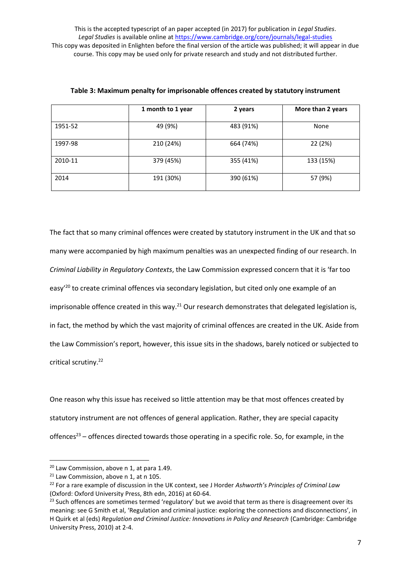|         | 1 month to 1 year | 2 years   | More than 2 years |
|---------|-------------------|-----------|-------------------|
| 1951-52 | 49 (9%)           | 483 (91%) | None              |
| 1997-98 | 210 (24%)         | 664 (74%) | 22 (2%)           |
| 2010-11 | 379 (45%)         | 355 (41%) | 133 (15%)         |
| 2014    | 191 (30%)         | 390 (61%) | 57 (9%)           |

| Table 3: Maximum penalty for imprisonable offences created by statutory instrument |  |  |  |
|------------------------------------------------------------------------------------|--|--|--|
|------------------------------------------------------------------------------------|--|--|--|

The fact that so many criminal offences were created by statutory instrument in the UK and that so many were accompanied by high maximum penalties was an unexpected finding of our research. In *Criminal Liability in Regulatory Contexts*, the Law Commission expressed concern that it is 'far too easy<sup>'20</sup> to create criminal offences via secondary legislation, but cited only one example of an imprisonable offence created in this way. $21$  Our research demonstrates that delegated legislation is, in fact, the method by which the vast majority of criminal offences are created in the UK. Aside from the Law Commission's report, however, this issue sits in the shadows, barely noticed or subjected to critical scrutiny. 22

One reason why this issue has received so little attention may be that most offences created by statutory instrument are not offences of general application. Rather, they are special capacity offences<sup>23</sup> – offences directed towards those operating in a specific role. So, for example, in the

<sup>&</sup>lt;sup>20</sup> Law Commission, above n 1, at para 1.49.

 $21$  Law Commission, above n 1, at n 105.

<sup>22</sup> For a rare example of discussion in the UK context, see J Horder *Ashworth's Principles of Criminal Law* (Oxford: Oxford University Press, 8th edn, 2016) at 60-64.

<sup>&</sup>lt;sup>23</sup> Such offences are sometimes termed 'regulatory' but we avoid that term as there is disagreement over its meaning: see G Smith et al, 'Regulation and criminal justice: exploring the connections and disconnections', in H Quirk et al (eds) *Regulation and Criminal Justice: Innovations in Policy and Research* (Cambridge: Cambridge University Press, 2010) at 2-4.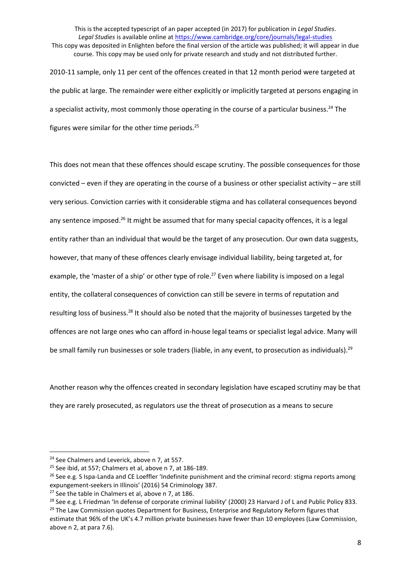2010-11 sample, only 11 per cent of the offences created in that 12 month period were targeted at the public at large. The remainder were either explicitly or implicitly targeted at persons engaging in a specialist activity, most commonly those operating in the course of a particular business.<sup>24</sup> The figures were similar for the other time periods.<sup>25</sup>

This does not mean that these offences should escape scrutiny. The possible consequences for those convicted – even if they are operating in the course of a business or other specialist activity – are still very serious. Conviction carries with it considerable stigma and has collateral consequences beyond any sentence imposed.<sup>26</sup> It might be assumed that for many special capacity offences, it is a legal entity rather than an individual that would be the target of any prosecution. Our own data suggests, however, that many of these offences clearly envisage individual liability, being targeted at, for example, the 'master of a ship' or other type of role.<sup>27</sup> Even where liability is imposed on a legal entity, the collateral consequences of conviction can still be severe in terms of reputation and resulting loss of business.<sup>28</sup> It should also be noted that the majority of businesses targeted by the offences are not large ones who can afford in-house legal teams or specialist legal advice. Many will be small family run businesses or sole traders (liable, in any event, to prosecution as individuals).<sup>29</sup>

Another reason why the offences created in secondary legislation have escaped scrutiny may be that they are rarely prosecuted, as regulators use the threat of prosecution as a means to secure

<sup>&</sup>lt;sup>24</sup> See Chalmers and Leverick, above n 7, at 557.

<sup>25</sup> See ibid, at 557; Chalmers et al, above n 7, at 186-189.

<sup>&</sup>lt;sup>26</sup> See e.g. S Ispa-Landa and CE Loeffler 'Indefinite punishment and the criminal record: stigma reports among expungement-seekers in Illinois' (2016) 54 Criminology 387.

<sup>&</sup>lt;sup>27</sup> See the table in Chalmers et al, above n 7, at 186.

<sup>&</sup>lt;sup>28</sup> See e.g. L Friedman 'In defense of corporate criminal liability' (2000) 23 Harvard J of L and Public Policy 833.

<sup>&</sup>lt;sup>29</sup> The Law Commission quotes Department for Business, Enterprise and Regulatory Reform figures that estimate that 96% of the UK's 4.7 million private businesses have fewer than 10 employees (Law Commission, above n 2, at para 7.6).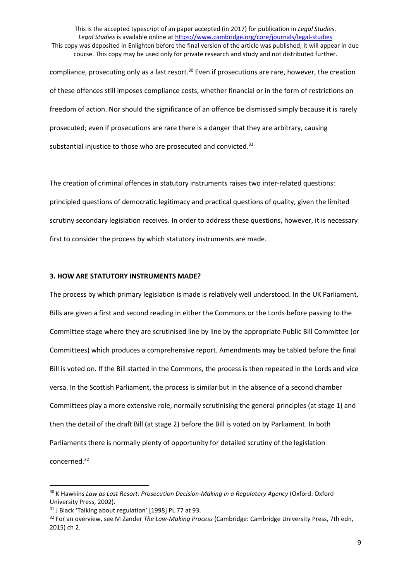This is the accepted typescript of an paper accepted (in 2017) for publication in *Legal Studies*. *Legal Studies* is available online at<https://www.cambridge.org/core/journals/legal-studies> This copy was deposited in Enlighten before the final version of the article was published; it will appear in due course. This copy may be used only for private research and study and not distributed further. compliance, prosecuting only as a last resort.<sup>30</sup> Even if prosecutions are rare, however, the creation of these offences still imposes compliance costs, whether financial or in the form of restrictions on freedom of action. Nor should the significance of an offence be dismissed simply because it is rarely prosecuted; even if prosecutions are rare there is a danger that they are arbitrary, causing substantial injustice to those who are prosecuted and convicted.<sup>31</sup>

The creation of criminal offences in statutory instruments raises two inter-related questions: principled questions of democratic legitimacy and practical questions of quality, given the limited scrutiny secondary legislation receives. In order to address these questions, however, it is necessary first to consider the process by which statutory instruments are made.

## **3. HOW ARE STATUTORY INSTRUMENTS MADE?**

The process by which primary legislation is made is relatively well understood. In the UK Parliament, Bills are given a first and second reading in either the Commons or the Lords before passing to the Committee stage where they are scrutinised line by line by the appropriate Public Bill Committee (or Committees) which produces a comprehensive report. Amendments may be tabled before the final Bill is voted on. If the Bill started in the Commons, the process is then repeated in the Lords and vice versa. In the Scottish Parliament, the process is similar but in the absence of a second chamber Committees play a more extensive role, normally scrutinising the general principles (at stage 1) and then the detail of the draft Bill (at stage 2) before the Bill is voted on by Parliament. In both Parliaments there is normally plenty of opportunity for detailed scrutiny of the legislation concerned. 32

<sup>&</sup>lt;sup>30</sup> K Hawkins *Law as Last Resort: Prosecution Decision-Making in a Regulatory Agency (Oxford: Oxford* University Press, 2002).

<sup>31</sup> J Black 'Talking about regulation' [1998] PL 77 at 93.

<sup>32</sup> For an overview, see M Zander *The Law-Making Process* (Cambridge: Cambridge University Press, 7th edn, 2015) ch 2.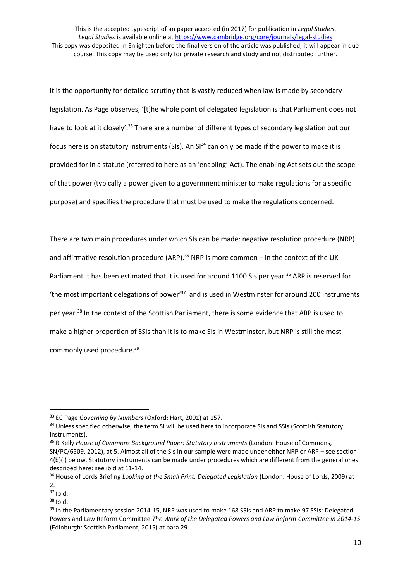It is the opportunity for detailed scrutiny that is vastly reduced when law is made by secondary legislation. As Page observes, '[t]he whole point of delegated legislation is that Parliament does not have to look at it closely'.<sup>33</sup> There are a number of different types of secondary legislation but our focus here is on statutory instruments (SIs). An  $SI^{34}$  can only be made if the power to make it is provided for in a statute (referred to here as an 'enabling' Act). The enabling Act sets out the scope of that power (typically a power given to a government minister to make regulations for a specific purpose) and specifies the procedure that must be used to make the regulations concerned.

There are two main procedures under which SIs can be made: negative resolution procedure (NRP) and affirmative resolution procedure (ARP).<sup>35</sup> NRP is more common  $-$  in the context of the UK Parliament it has been estimated that it is used for around 1100 SIs per year.<sup>36</sup> ARP is reserved for 'the most important delegations of power<sup>'37</sup> and is used in Westminster for around 200 instruments per year.<sup>38</sup> In the context of the Scottish Parliament, there is some evidence that ARP is used to make a higher proportion of SSIs than it is to make SIs in Westminster, but NRP is still the most commonly used procedure.<sup>39</sup>

<sup>33</sup> EC Page *Governing by Numbers* (Oxford: Hart, 2001) at 157.

<sup>&</sup>lt;sup>34</sup> Unless specified otherwise, the term SI will be used here to incorporate SIs and SSIs (Scottish Statutory Instruments).

<sup>35</sup> R Kelly *House of Commons Background Paper: Statutory Instruments* (London: House of Commons, SN/PC/6509, 2012), at 5. Almost all of the SIs in our sample were made under either NRP or ARP – see section 4(b)(i) below. Statutory instruments can be made under procedures which are different from the general ones described here: see ibid at 11-14.

<sup>36</sup> House of Lords Briefing *Looking at the Small Print: Delegated Legislation* (London: House of Lords, 2009) at 2.

<sup>37</sup> Ibid.

 $38$  Ibid.

<sup>&</sup>lt;sup>39</sup> In the Parliamentary session 2014-15, NRP was used to make 168 SSIs and ARP to make 97 SSIs: Delegated Powers and Law Reform Committee *The Work of the Delegated Powers and Law Reform Committee in 2014-15* (Edinburgh: Scottish Parliament, 2015) at para 29.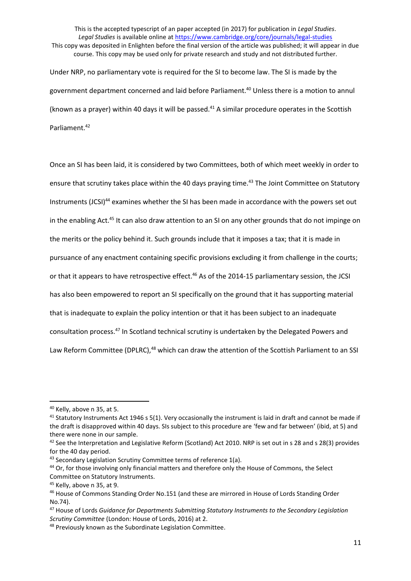This is the accepted typescript of an paper accepted (in 2017) for publication in *Legal Studies*. *Legal Studies* is available online at<https://www.cambridge.org/core/journals/legal-studies> This copy was deposited in Enlighten before the final version of the article was published; it will appear in due course. This copy may be used only for private research and study and not distributed further. Under NRP, no parliamentary vote is required for the SI to become law. The SI is made by the government department concerned and laid before Parliament.<sup>40</sup> Unless there is a motion to annul (known as a prayer) within 40 days it will be passed. $41$  A similar procedure operates in the Scottish Parliament.<sup>42</sup>

Once an SI has been laid, it is considered by two Committees, both of which meet weekly in order to ensure that scrutiny takes place within the 40 days praying time.<sup>43</sup> The Joint Committee on Statutory Instruments (JCSI)<sup>44</sup> examines whether the SI has been made in accordance with the powers set out in the enabling Act.<sup>45</sup> It can also draw attention to an SI on any other grounds that do not impinge on the merits or the policy behind it. Such grounds include that it imposes a tax; that it is made in pursuance of any enactment containing specific provisions excluding it from challenge in the courts; or that it appears to have retrospective effect.<sup>46</sup> As of the 2014-15 parliamentary session, the JCSI has also been empowered to report an SI specifically on the ground that it has supporting material that is inadequate to explain the policy intention or that it has been subject to an inadequate consultation process. <sup>47</sup> In Scotland technical scrutiny is undertaken by the Delegated Powers and Law Reform Committee (DPLRC),<sup>48</sup> which can draw the attention of the Scottish Parliament to an SSI

<sup>40</sup> Kelly, above n 35, at 5.

 $41$  Statutory Instruments Act 1946 s 5(1). Very occasionally the instrument is laid in draft and cannot be made if the draft is disapproved within 40 days. SIs subject to this procedure are 'few and far between' (ibid, at 5) and there were none in our sample.

<sup>&</sup>lt;sup>42</sup> See the Interpretation and Legislative Reform (Scotland) Act 2010. NRP is set out in s 28 and s 28(3) provides for the 40 day period.

 $43$  Secondary Legislation Scrutiny Committee terms of reference  $1(a)$ .

<sup>&</sup>lt;sup>44</sup> Or, for those involving only financial matters and therefore only the House of Commons, the Select Committee on Statutory Instruments.

<sup>45</sup> Kelly, above n 35, at 9.

<sup>46</sup> House of Commons Standing Order No.151 (and these are mirrored in House of Lords Standing Order No.74).

<sup>47</sup> House of Lords *Guidance for Departments Submitting Statutory Instruments to the Secondary Legislation Scrutiny Committee* (London: House of Lords, 2016) at 2.

<sup>48</sup> Previously known as the Subordinate Legislation Committee.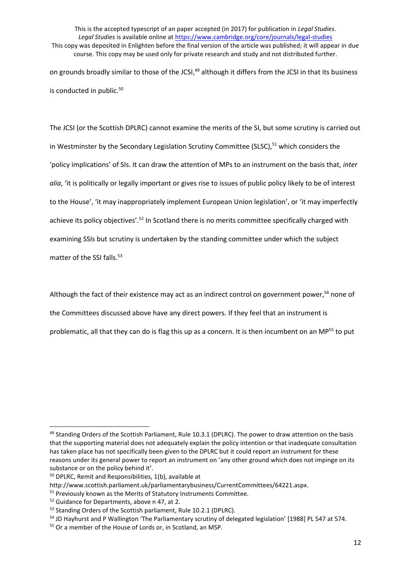This is the accepted typescript of an paper accepted (in 2017) for publication in *Legal Studies*. *Legal Studies* is available online at<https://www.cambridge.org/core/journals/legal-studies> This copy was deposited in Enlighten before the final version of the article was published; it will appear in due course. This copy may be used only for private research and study and not distributed further. on grounds broadly similar to those of the JCSI,<sup>49</sup> although it differs from the JCSI in that its business

is conducted in public.<sup>50</sup>

The JCSI (or the Scottish DPLRC) cannot examine the merits of the SI, but some scrutiny is carried out in Westminster by the Secondary Legislation Scrutiny Committee (SLSC), <sup>51</sup> which considers the 'policy implications' of SIs. It can draw the attention of MPs to an instrument on the basis that, *inter alia*, 'it is politically or legally important or gives rise to issues of public policy likely to be of interest to the House', 'it may inappropriately implement European Union legislation', or 'it may imperfectly achieve its policy objectives'.<sup>52</sup> In Scotland there is no merits committee specifically charged with examining SSIs but scrutiny is undertaken by the standing committee under which the subject matter of the SSI falls. 53

Although the fact of their existence may act as an indirect control on government power,<sup>54</sup> none of

the Committees discussed above have any direct powers. If they feel that an instrument is

problematic, all that they can do is flag this up as a concern. It is then incumbent on an MP<sup>55</sup> to put

<sup>&</sup>lt;sup>49</sup> Standing Orders of the Scottish Parliament, Rule 10.3.1 (DPLRC). The power to draw attention on the basis that the supporting material does not adequately explain the policy intention or that inadequate consultation has taken place has not specifically been given to the DPLRC but it could report an instrument for these reasons under its general power to report an instrument on 'any other ground which does not impinge on its substance or on the policy behind it'.

<sup>50</sup> DPLRC, Remit and Responsibilities, 1(b), available at

http://www.scottish.parliament.uk/parliamentarybusiness/CurrentCommittees/64221.aspx.

<sup>&</sup>lt;sup>51</sup> Previously known as the Merits of Statutory Instruments Committee.

<sup>&</sup>lt;sup>52</sup> Guidance for Departments, above n 47, at 2.

<sup>53</sup> Standing Orders of the Scottish parliament, Rule 10.2.1 (DPLRC).

<sup>54</sup> JD Hayhurst and P Wallington 'The Parliamentary scrutiny of delegated legislation' [1988] PL 547 at 574.

<sup>55</sup> Or a member of the House of Lords or, in Scotland, an MSP.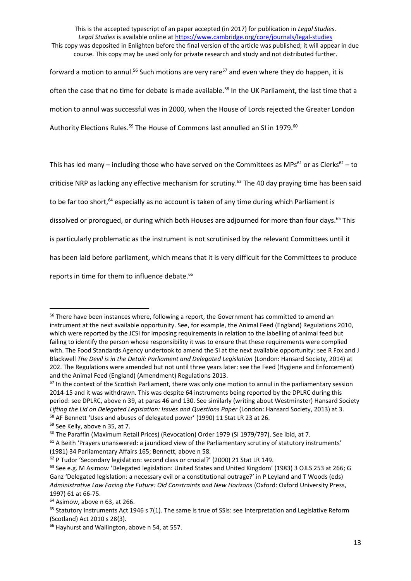forward a motion to annul.<sup>56</sup> Such motions are very rare<sup>57</sup> and even where they do happen, it is often the case that no time for debate is made available.<sup>58</sup> In the UK Parliament, the last time that a motion to annul was successful was in 2000, when the House of Lords rejected the Greater London Authority Elections Rules.<sup>59</sup> The House of Commons last annulled an SI in 1979.<sup>60</sup>

This has led many – including those who have served on the Committees as MPs<sup>61</sup> or as Clerks<sup>62</sup> – to

criticise NRP as lacking any effective mechanism for scrutiny.<sup>63</sup> The 40 day praying time has been said

to be far too short, <sup>64</sup> especially as no account is taken of any time during which Parliament is

dissolved or prorogued, or during which both Houses are adjourned for more than four days.<sup>65</sup> This

is particularly problematic as the instrument is not scrutinised by the relevant Committees until it

has been laid before parliament, which means that it is very difficult for the Committees to produce

reports in time for them to influence debate.<sup>66</sup>

<sup>&</sup>lt;sup>56</sup> There have been instances where, following a report, the Government has committed to amend an instrument at the next available opportunity. See, for example, the Animal Feed (England) Regulations 2010, which were reported by the JCSI for imposing requirements in relation to the labelling of animal feed but failing to identify the person whose responsibility it was to ensure that these requirements were complied with. The Food Standards Agency undertook to amend the SI at the next available opportunity: see R Fox and J Blackwell *The Devil is in the Detail: Parliament and Delegated Legislation* (London: Hansard Society, 2014) at 202. The Regulations were amended but not until three years later: see the Feed (Hygiene and Enforcement) and the Animal Feed (England) (Amendment) Regulations 2013.

<sup>&</sup>lt;sup>57</sup> In the context of the Scottish Parliament, there was only one motion to annul in the parliamentary session 2014-15 and it was withdrawn. This was despite 64 instruments being reported by the DPLRC during this period: see DPLRC, above n 39, at paras 46 and 130. See similarly (writing about Westminster) Hansard Society *Lifting the Lid on Delegated Legislation: Issues and Questions Paper* (London: Hansard Society, 2013) at 3. <sup>58</sup> AF Bennett 'Uses and abuses of delegated power' (1990) 11 Stat LR 23 at 26.

<sup>59</sup> See Kelly, above n 35, at 7.

<sup>&</sup>lt;sup>60</sup> The Paraffin (Maximum Retail Prices) (Revocation) Order 1979 (SI 1979/797). See ibid, at 7.

<sup>&</sup>lt;sup>61</sup> A Beith 'Prayers unanswered: a jaundiced view of the Parliamentary scrutiny of statutory instruments' (1981) 34 Parliamentary Affairs 165; Bennett, above n 58.

<sup>62</sup> P Tudor 'Secondary legislation: second class or crucial?' (2000) 21 Stat LR 149.

<sup>63</sup> See e.g. M Asimow 'Delegated legislation: United States and United Kingdom' (1983) 3 OJLS 253 at 266; G Ganz 'Delegated legislation: a necessary evil or a constitutional outrage?' in P Leyland and T Woods (eds) *Administrative Law Facing the Future: Old Constraints and New Horizons* (Oxford: Oxford University Press, 1997) 61 at 66-75.

<sup>64</sup> Asimow, above n 63, at 266.

<sup>&</sup>lt;sup>65</sup> Statutory Instruments Act 1946 s 7(1). The same is true of SSIs: see Interpretation and Legislative Reform (Scotland) Act 2010 s 28(3).

<sup>&</sup>lt;sup>66</sup> Hayhurst and Wallington, above n 54, at 557.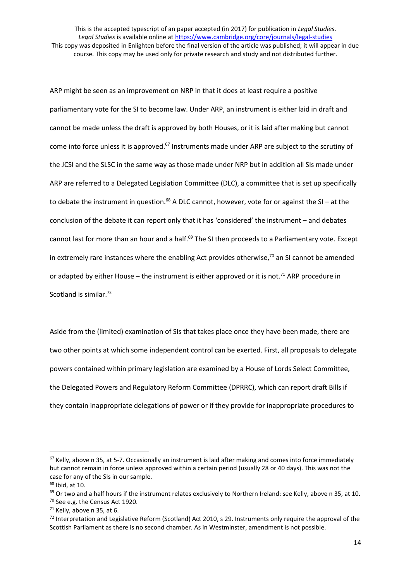ARP might be seen as an improvement on NRP in that it does at least require a positive parliamentary vote for the SI to become law. Under ARP, an instrument is either laid in draft and cannot be made unless the draft is approved by both Houses, or it is laid after making but cannot come into force unless it is approved.<sup>67</sup> Instruments made under ARP are subject to the scrutiny of the JCSI and the SLSC in the same way as those made under NRP but in addition all SIs made under ARP are referred to a Delegated Legislation Committee (DLC), a committee that is set up specifically to debate the instrument in question.<sup>68</sup> A DLC cannot, however, vote for or against the SI – at the conclusion of the debate it can report only that it has 'considered' the instrument – and debates cannot last for more than an hour and a half.<sup>69</sup> The SI then proceeds to a Parliamentary vote. Except in extremely rare instances where the enabling Act provides otherwise, $70$  an SI cannot be amended or adapted by either House  $-$  the instrument is either approved or it is not.<sup>71</sup> ARP procedure in Scotland is similar.<sup>72</sup>

Aside from the (limited) examination of SIs that takes place once they have been made, there are two other points at which some independent control can be exerted. First, all proposals to delegate powers contained within primary legislation are examined by a House of Lords Select Committee, the Delegated Powers and Regulatory Reform Committee (DPRRC), which can report draft Bills if they contain inappropriate delegations of power or if they provide for inappropriate procedures to

<sup>&</sup>lt;sup>67</sup> Kelly, above n 35, at 5-7. Occasionally an instrument is laid after making and comes into force immediately but cannot remain in force unless approved within a certain period (usually 28 or 40 days). This was not the case for any of the SIs in our sample.

<sup>68</sup> Ibid, at 10.

 $69$  Or two and a half hours if the instrument relates exclusively to Northern Ireland: see Kelly, above n 35, at 10.

<sup>&</sup>lt;sup>70</sup> See e.g. the Census Act 1920.

<sup>71</sup> Kelly, above n 35, at 6.

 $72$  Interpretation and Legislative Reform (Scotland) Act 2010, s 29. Instruments only require the approval of the Scottish Parliament as there is no second chamber. As in Westminster, amendment is not possible.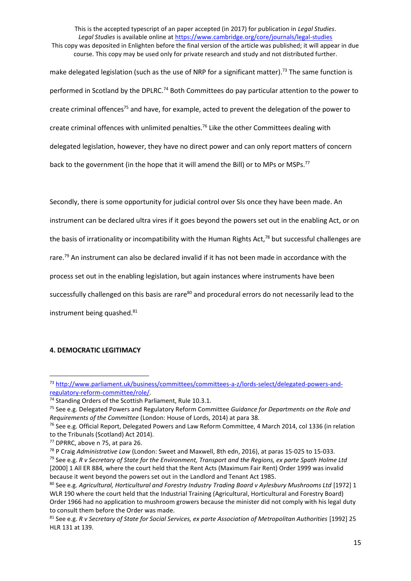make delegated legislation (such as the use of NRP for a significant matter).<sup>73</sup> The same function is performed in Scotland by the DPLRC.<sup>74</sup> Both Committees do pay particular attention to the power to create criminal offences<sup>75</sup> and have, for example, acted to prevent the delegation of the power to create criminal offences with unlimited penalties.<sup>76</sup> Like the other Committees dealing with delegated legislation, however, they have no direct power and can only report matters of concern back to the government (in the hope that it will amend the Bill) or to MPs or MSPs.<sup>77</sup>

Secondly, there is some opportunity for judicial control over SIs once they have been made. An instrument can be declared ultra vires if it goes beyond the powers set out in the enabling Act, or on the basis of irrationality or incompatibility with the Human Rights Act,<sup>78</sup> but successful challenges are rare.<sup>79</sup> An instrument can also be declared invalid if it has not been made in accordance with the process set out in the enabling legislation, but again instances where instruments have been successfully challenged on this basis are rare<sup>80</sup> and procedural errors do not necessarily lead to the instrument being quashed.<sup>81</sup>

# **4. DEMOCRATIC LEGITIMACY**

 $\overline{\phantom{a}}$ 

<sup>73</sup> [http://www.parliament.uk/business/committees/committees-a-z/lords-select/delegated-powers-and](http://www.parliament.uk/business/committees/committees-a-z/lords-select/delegated-powers-and-regulatory-reform-committee/role/)[regulatory-reform-committee/role/.](http://www.parliament.uk/business/committees/committees-a-z/lords-select/delegated-powers-and-regulatory-reform-committee/role/)

<sup>&</sup>lt;sup>74</sup> Standing Orders of the Scottish Parliament, Rule 10.3.1.

<sup>75</sup> See e.g. Delegated Powers and Regulatory Reform Committee *Guidance for Departments on the Role and Requirements of the Committee* (London: House of Lords, 2014) at para 38.

<sup>76</sup> See e.g. Official Report, Delegated Powers and Law Reform Committee, 4 March 2014, col 1336 (in relation to the Tribunals (Scotland) Act 2014).

<sup>77</sup> DPRRC, above n 75, at para 26.

<sup>78</sup> P Craig *Administrative Law* (London: Sweet and Maxwell, 8th edn, 2016), at paras 15-025 to 15-033. <sup>79</sup> See e.g. *R v Secretary of State for the Environment, Transport and the Regions, ex parte Spath Holme Ltd* [2000] 1 All ER 884, where the court held that the Rent Acts (Maximum Fair Rent) Order 1999 was invalid because it went beyond the powers set out in the Landlord and Tenant Act 1985.

<sup>80</sup> See e.g. *Agricultural, Horticultural and Forestry Industry Trading Board v Aylesbury Mushrooms Ltd* [1972] 1 WLR 190 where the court held that the Industrial Training (Agricultural, Horticultural and Forestry Board) Order 1966 had no application to mushroom growers because the minister did not comply with his legal duty to consult them before the Order was made.

<sup>81</sup> See e.g. *R v Secretary of State for Social Services, ex parte Association of Metropolitan Authorities* [1992] 25 HLR 131 at 139.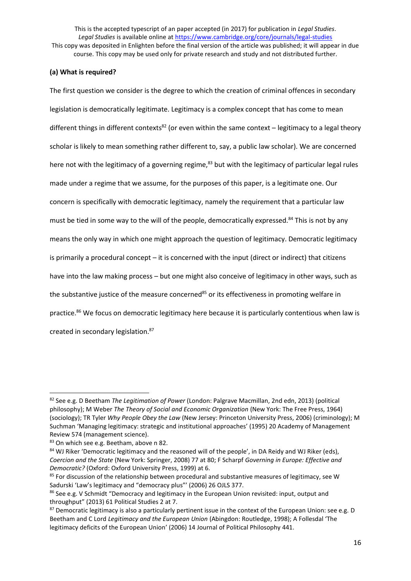# **(a) What is required?**

The first question we consider is the degree to which the creation of criminal offences in secondary legislation is democratically legitimate. Legitimacy is a complex concept that has come to mean different things in different contexts<sup>82</sup> (or even within the same context – legitimacy to a legal theory scholar is likely to mean something rather different to, say, a public law scholar). We are concerned here not with the legitimacy of a governing regime,<sup>83</sup> but with the legitimacy of particular legal rules made under a regime that we assume, for the purposes of this paper, is a legitimate one. Our concern is specifically with democratic legitimacy, namely the requirement that a particular law must be tied in some way to the will of the people, democratically expressed.<sup>84</sup> This is not by any means the only way in which one might approach the question of legitimacy. Democratic legitimacy is primarily a procedural concept – it is concerned with the input (direct or indirect) that citizens have into the law making process – but one might also conceive of legitimacy in other ways, such as the substantive justice of the measure concerned<sup>85</sup> or its effectiveness in promoting welfare in practice.<sup>86</sup> We focus on democratic legitimacy here because it is particularly contentious when law is created in secondary legislation.<sup>87</sup>

 $\overline{\phantom{a}}$ 

<sup>82</sup> See e.g. D Beetham *The Legitimation of Power* (London: Palgrave Macmillan, 2nd edn, 2013) (political philosophy); M Weber *The Theory of Social and Economic Organization* (New York: The Free Press, 1964) (sociology); TR Tyler *Why People Obey the Law* (New Jersey: Princeton University Press, 2006) (criminology); M Suchman 'Managing legitimacy: strategic and institutional approaches' (1995) 20 Academy of Management Review 574 (management science).

<sup>83</sup> On which see e.g. Beetham, above n 82.

<sup>84</sup> WJ Riker 'Democratic legitimacy and the reasoned will of the people', in DA Reidy and WJ Riker (eds), *Coercion and the State* (New York: Springer, 2008) 77 at 80; F Scharpf *Governing in Europe: Effective and Democratic?* (Oxford: Oxford University Press, 1999) at 6.

<sup>&</sup>lt;sup>85</sup> For discussion of the relationship between procedural and substantive measures of legitimacy, see W Sadurski 'Law's legitimacy and "democracy plus"' (2006) 26 OJLS 377.

<sup>86</sup> See e.g. V Schmidt "Democracy and legitimacy in the European Union revisited: input, output and throughput" (2013) 61 Political Studies 2 at 7.

<sup>87</sup> Democratic legitimacy is also a particularly pertinent issue in the context of the European Union: see e.g. D Beetham and C Lord *Legitimacy and the European Union* (Abingdon: Routledge, 1998); A Follesdal 'The legitimacy deficits of the European Union' (2006) 14 Journal of Political Philosophy 441.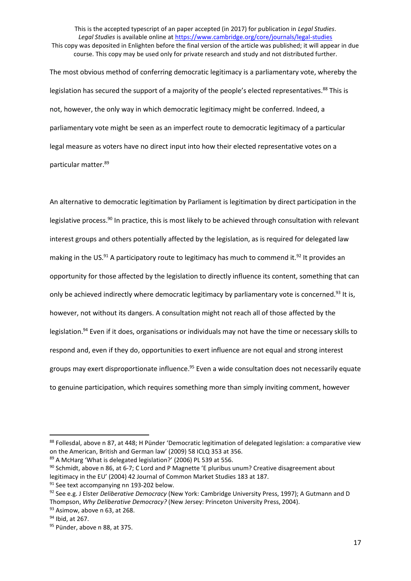The most obvious method of conferring democratic legitimacy is a parliamentary vote, whereby the legislation has secured the support of a majority of the people's elected representatives.<sup>88</sup> This is not, however, the only way in which democratic legitimacy might be conferred. Indeed, a parliamentary vote might be seen as an imperfect route to democratic legitimacy of a particular legal measure as voters have no direct input into how their elected representative votes on a particular matter. 89

An alternative to democratic legitimation by Parliament is legitimation by direct participation in the legislative process.<sup>90</sup> In practice, this is most likely to be achieved through consultation with relevant interest groups and others potentially affected by the legislation, as is required for delegated law making in the US. $91$  A participatory route to legitimacy has much to commend it.  $92$  It provides an opportunity for those affected by the legislation to directly influence its content, something that can only be achieved indirectly where democratic legitimacy by parliamentary vote is concerned.<sup>93</sup> It is, however, not without its dangers. A consultation might not reach all of those affected by the legislation.<sup>94</sup> Even if it does, organisations or individuals may not have the time or necessary skills to respond and, even if they do, opportunities to exert influence are not equal and strong interest groups may exert disproportionate influence. <sup>95</sup> Even a wide consultation does not necessarily equate to genuine participation, which requires something more than simply inviting comment, however

<sup>88</sup> Follesdal, above n 87, at 448; H Pünder 'Democratic legitimation of delegated legislation: a comparative view on the American, British and German law' (2009) 58 ICLQ 353 at 356.

<sup>89</sup> A McHarg 'What is delegated legislation?' (2006) PL 539 at 556.

<sup>90</sup> Schmidt, above n 86, at 6-7; C Lord and P Magnette 'E pluribus unum? Creative disagreement about legitimacy in the EU' (2004) 42 Journal of Common Market Studies 183 at 187.

<sup>&</sup>lt;sup>91</sup> See text accompanying nn 193-202 below.

<sup>92</sup> See e.g. J Elster *Deliberative Democracy* (New York: Cambridge University Press, 1997); A Gutmann and D Thompson, *Why Deliberative Democracy?* (New Jersey: Princeton University Press, 2004).

<sup>93</sup> Asimow, above n 63, at 268.

<sup>94</sup> Ibid, at 267.

<sup>95</sup> Pünder, above n 88, at 375.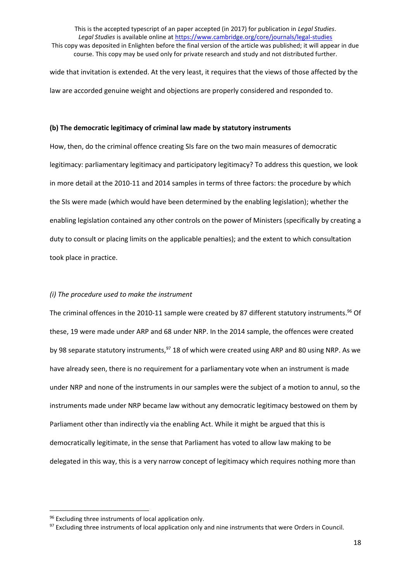wide that invitation is extended. At the very least, it requires that the views of those affected by the law are accorded genuine weight and objections are properly considered and responded to.

#### **(b) The democratic legitimacy of criminal law made by statutory instruments**

How, then, do the criminal offence creating SIs fare on the two main measures of democratic legitimacy: parliamentary legitimacy and participatory legitimacy? To address this question, we look in more detail at the 2010-11 and 2014 samples in terms of three factors: the procedure by which the SIs were made (which would have been determined by the enabling legislation); whether the enabling legislation contained any other controls on the power of Ministers (specifically by creating a duty to consult or placing limits on the applicable penalties); and the extent to which consultation took place in practice.

#### *(i) The procedure used to make the instrument*

The criminal offences in the 2010-11 sample were created by 87 different statutory instruments.<sup>96</sup> Of these, 19 were made under ARP and 68 under NRP. In the 2014 sample, the offences were created by 98 separate statutory instruments,<sup>97</sup> 18 of which were created using ARP and 80 using NRP. As we have already seen, there is no requirement for a parliamentary vote when an instrument is made under NRP and none of the instruments in our samples were the subject of a motion to annul, so the instruments made under NRP became law without any democratic legitimacy bestowed on them by Parliament other than indirectly via the enabling Act. While it might be argued that this is democratically legitimate, in the sense that Parliament has voted to allow law making to be delegated in this way, this is a very narrow concept of legitimacy which requires nothing more than

<sup>96</sup> Excluding three instruments of local application only.

<sup>&</sup>lt;sup>97</sup> Excluding three instruments of local application only and nine instruments that were Orders in Council.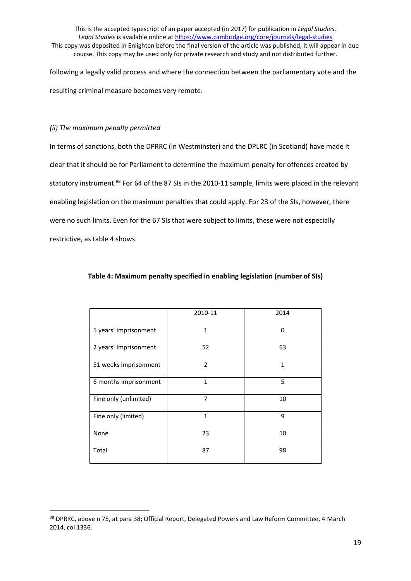following a legally valid process and where the connection between the parliamentary vote and the resulting criminal measure becomes very remote.

# *(ii) The maximum penalty permitted*

1

In terms of sanctions, both the DPRRC (in Westminster) and the DPLRC (in Scotland) have made it clear that it should be for Parliament to determine the maximum penalty for offences created by statutory instrument.<sup>98</sup> For 64 of the 87 SIs in the 2010-11 sample, limits were placed in the relevant enabling legislation on the maximum penalties that could apply. For 23 of the SIs, however, there were no such limits. Even for the 67 SIs that were subject to limits, these were not especially restrictive, as table 4 shows.

|                       | 2010-11        | 2014         |
|-----------------------|----------------|--------------|
| 5 years' imprisonment | $\mathbf{1}$   | $\Omega$     |
| 2 years' imprisonment | 52             | 63           |
| 51 weeks imprisonment | $\overline{2}$ | $\mathbf{1}$ |
| 6 months imprisonment | $\mathbf{1}$   | 5            |
| Fine only (unlimited) | 7              | 10           |
| Fine only (limited)   | $\mathbf{1}$   | 9            |
| None                  | 23             | 10           |
| Total                 | 87             | 98           |

# **Table 4: Maximum penalty specified in enabling legislation (number of SIs)**

<sup>98</sup> DPRRC, above n 75, at para 38; Official Report, Delegated Powers and Law Reform Committee, 4 March 2014, col 1336.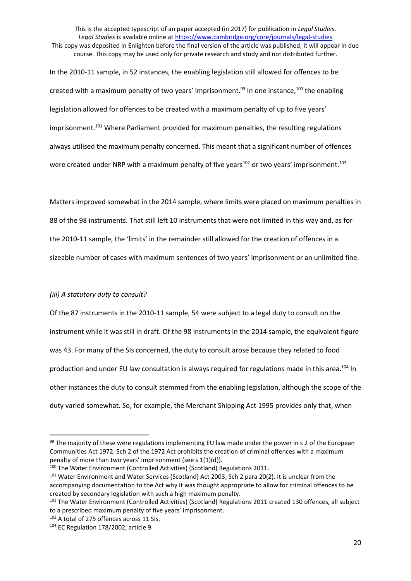In the 2010-11 sample, in 52 instances, the enabling legislation still allowed for offences to be created with a maximum penalty of two years' imprisonment.<sup>99</sup> In one instance,<sup>100</sup> the enabling legislation allowed for offences to be created with a maximum penalty of up to five years' imprisonment.<sup>101</sup> Where Parliament provided for maximum penalties, the resulting regulations always utilised the maximum penalty concerned. This meant that a significant number of offences were created under NRP with a maximum penalty of five years<sup>102</sup> or two years' imprisonment.<sup>103</sup>

Matters improved somewhat in the 2014 sample, where limits were placed on maximum penalties in 88 of the 98 instruments. That still left 10 instruments that were not limited in this way and, as for the 2010-11 sample, the 'limits' in the remainder still allowed for the creation of offences in a sizeable number of cases with maximum sentences of two years' imprisonment or an unlimited fine.

# *(iii) A statutory duty to consult?*

Of the 87 instruments in the 2010-11 sample, 54 were subject to a legal duty to consult on the instrument while it was still in draft. Of the 98 instruments in the 2014 sample, the equivalent figure was 43. For many of the SIs concerned, the duty to consult arose because they related to food production and under EU law consultation is always required for regulations made in this area.<sup>104</sup> In other instances the duty to consult stemmed from the enabling legislation, although the scope of the duty varied somewhat. So, for example, the Merchant Shipping Act 1995 provides only that, when

<sup>99</sup> The majority of these were regulations implementing EU law made under the power in s 2 of the European Communities Act 1972. Sch 2 of the 1972 Act prohibits the creation of criminal offences with a maximum penalty of more than two years' imprisonment (see s 1(1)(d)).

<sup>100</sup> The Water Environment (Controlled Activities) (Scotland) Regulations 2011.

<sup>&</sup>lt;sup>101</sup> Water Environment and Water Services (Scotland) Act 2003, Sch 2 para 20(2). It is unclear from the accompanying documentation to the Act why it was thought appropriate to allow for criminal offences to be created by secondary legislation with such a high maximum penalty.

<sup>&</sup>lt;sup>102</sup> The Water Environment (Controlled Activities) (Scotland) Regulations 2011 created 130 offences, all subject to a prescribed maximum penalty of five years' imprisonment.

<sup>103</sup> A total of 275 offences across 11 SIs.

<sup>104</sup> EC Regulation 178/2002, article 9.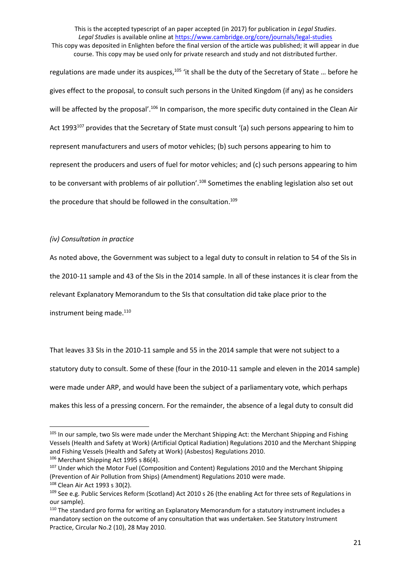This is the accepted typescript of an paper accepted (in 2017) for publication in *Legal Studies*. *Legal Studies* is available online at<https://www.cambridge.org/core/journals/legal-studies> This copy was deposited in Enlighten before the final version of the article was published; it will appear in due

course. This copy may be used only for private research and study and not distributed further.

regulations are made under its auspices,<sup>105</sup> 'it shall be the duty of the Secretary of State ... before he gives effect to the proposal, to consult such persons in the United Kingdom (if any) as he considers will be affected by the proposal'.<sup>106</sup> In comparison, the more specific duty contained in the Clean Air Act 1993<sup>107</sup> provides that the Secretary of State must consult '(a) such persons appearing to him to represent manufacturers and users of motor vehicles; (b) such persons appearing to him to represent the producers and users of fuel for motor vehicles; and (c) such persons appearing to him to be conversant with problems of air pollution'.<sup>108</sup> Sometimes the enabling legislation also set out the procedure that should be followed in the consultation.<sup>109</sup>

## *(iv) Consultation in practice*

As noted above, the Government was subject to a legal duty to consult in relation to 54 of the SIs in

the 2010-11 sample and 43 of the SIs in the 2014 sample. In all of these instances it is clear from the

relevant Explanatory Memorandum to the SIs that consultation did take place prior to the

instrument being made.<sup>110</sup>

That leaves 33 SIs in the 2010-11 sample and 55 in the 2014 sample that were not subject to a statutory duty to consult. Some of these (four in the 2010-11 sample and eleven in the 2014 sample) were made under ARP, and would have been the subject of a parliamentary vote, which perhaps makes this less of a pressing concern. For the remainder, the absence of a legal duty to consult did

<sup>&</sup>lt;sup>105</sup> In our sample, two SIs were made under the Merchant Shipping Act: the Merchant Shipping and Fishing Vessels (Health and Safety at Work) (Artificial Optical Radiation) Regulations 2010 and the Merchant Shipping and Fishing Vessels (Health and Safety at Work) (Asbestos) Regulations 2010.

<sup>106</sup> Merchant Shipping Act 1995 s 86(4).

<sup>107</sup> Under which the Motor Fuel (Composition and Content) Regulations 2010 and the Merchant Shipping (Prevention of Air Pollution from Ships) (Amendment) Regulations 2010 were made.

<sup>108</sup> Clean Air Act 1993 s 30(2).

<sup>109</sup> See e.g. Public Services Reform (Scotland) Act 2010 s 26 (the enabling Act for three sets of Regulations in our sample).

<sup>110</sup> The standard pro forma for writing an Explanatory Memorandum for a statutory instrument includes a mandatory section on the outcome of any consultation that was undertaken. See Statutory Instrument Practice, Circular No.2 (10), 28 May 2010.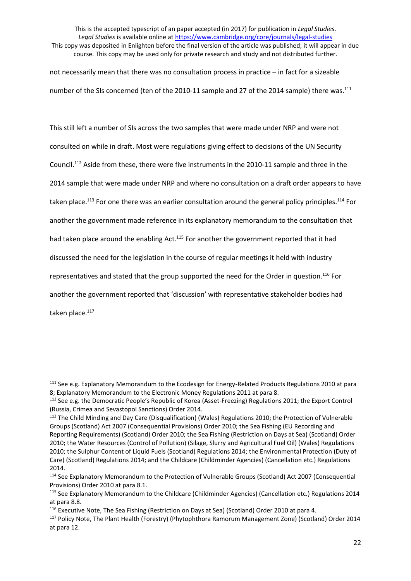not necessarily mean that there was no consultation process in practice – in fact for a sizeable number of the SIs concerned (ten of the 2010-11 sample and 27 of the 2014 sample) there was.<sup>111</sup>

This still left a number of SIs across the two samples that were made under NRP and were not consulted on while in draft. Most were regulations giving effect to decisions of the UN Security Council.<sup>112</sup> Aside from these, there were five instruments in the 2010-11 sample and three in the 2014 sample that were made under NRP and where no consultation on a draft order appears to have taken place.<sup>113</sup> For one there was an earlier consultation around the general policy principles.<sup>114</sup> For another the government made reference in its explanatory memorandum to the consultation that had taken place around the enabling Act.<sup>115</sup> For another the government reported that it had discussed the need for the legislation in the course of regular meetings it held with industry representatives and stated that the group supported the need for the Order in question.<sup>116</sup> For another the government reported that 'discussion' with representative stakeholder bodies had taken place.<sup>117</sup>

 $\overline{a}$ 

<sup>111</sup> See e.g. Explanatory Memorandum to the Ecodesign for Energy-Related Products Regulations 2010 at para 8; Explanatory Memorandum to the Electronic Money Regulations 2011 at para 8.

<sup>112</sup> See e.g. the Democratic People's Republic of Korea (Asset-Freezing) Regulations 2011; the Export Control (Russia, Crimea and Sevastopol Sanctions) Order 2014.

<sup>&</sup>lt;sup>113</sup> The Child Minding and Day Care (Disqualification) (Wales) Regulations 2010; the Protection of Vulnerable Groups (Scotland) Act 2007 (Consequential Provisions) Order 2010; the Sea Fishing (EU Recording and Reporting Requirements) (Scotland) Order 2010; the Sea Fishing (Restriction on Days at Sea) (Scotland) Order 2010; the Water Resources (Control of Pollution) (Silage, Slurry and Agricultural Fuel Oil) (Wales) Regulations 2010; the Sulphur Content of Liquid Fuels (Scotland) Regulations 2014; the Environmental Protection (Duty of Care) (Scotland) Regulations 2014; and the Childcare (Childminder Agencies) (Cancellation etc.) Regulations 2014.

<sup>&</sup>lt;sup>114</sup> See Explanatory Memorandum to the Protection of Vulnerable Groups (Scotland) Act 2007 (Consequential Provisions) Order 2010 at para 8.1.

<sup>115</sup> See Explanatory Memorandum to the Childcare (Childminder Agencies) (Cancellation etc.) Regulations 2014 at para 8.8.

<sup>&</sup>lt;sup>116</sup> Executive Note, The Sea Fishing (Restriction on Days at Sea) (Scotland) Order 2010 at para 4.

<sup>117</sup> Policy Note, The Plant Health (Forestry) (Phytophthora Ramorum Management Zone) (Scotland) Order 2014 at para 12.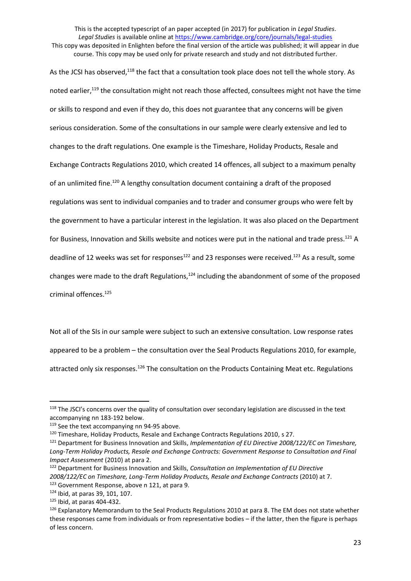This is the accepted typescript of an paper accepted (in 2017) for publication in *Legal Studies*. *Legal Studies* is available online at<https://www.cambridge.org/core/journals/legal-studies>

This copy was deposited in Enlighten before the final version of the article was published; it will appear in due course. This copy may be used only for private research and study and not distributed further.

As the JCSI has observed,<sup>118</sup> the fact that a consultation took place does not tell the whole story. As noted earlier,<sup>119</sup> the consultation might not reach those affected, consultees might not have the time or skills to respond and even if they do, this does not guarantee that any concerns will be given serious consideration. Some of the consultations in our sample were clearly extensive and led to changes to the draft regulations. One example is the Timeshare, Holiday Products, Resale and Exchange Contracts Regulations 2010, which created 14 offences, all subject to a maximum penalty of an unlimited fine.<sup>120</sup> A lengthy consultation document containing a draft of the proposed regulations was sent to individual companies and to trader and consumer groups who were felt by the government to have a particular interest in the legislation. It was also placed on the Department for Business, Innovation and Skills website and notices were put in the national and trade press.<sup>121</sup> A deadline of 12 weeks was set for responses<sup>122</sup> and 23 responses were received.<sup>123</sup> As a result, some changes were made to the draft Regulations.<sup>124</sup> including the abandonment of some of the proposed criminal offences.<sup>125</sup>

Not all of the SIs in our sample were subject to such an extensive consultation. Low response rates appeared to be a problem – the consultation over the Seal Products Regulations 2010, for example, attracted only six responses.<sup>126</sup> The consultation on the Products Containing Meat etc. Regulations

<sup>&</sup>lt;sup>118</sup> The JSCI's concerns over the quality of consultation over secondary legislation are discussed in the text accompanying nn 183-192 below.

<sup>&</sup>lt;sup>119</sup> See the text accompanying nn 94-95 above.

<sup>120</sup> Timeshare, Holiday Products, Resale and Exchange Contracts Regulations 2010, s 27.

<sup>121</sup> Department for Business Innovation and Skills, *Implementation of EU Directive 2008/122/EC on Timeshare, Long-Term Holiday Products, Resale and Exchange Contracts: Government Response to Consultation and Final Impact Assessment* (2010) at para 2.

<sup>122</sup> Department for Business Innovation and Skills, *Consultation on Implementation of EU Directive 2008/122/EC on Timeshare, Long-Term Holiday Products, Resale and Exchange Contracts* (2010) at 7. 123 Government Response, above n 121, at para 9.

<sup>124</sup> Ibid, at paras 39, 101, 107.

<sup>125</sup> Ibid, at paras 404-432.

<sup>126</sup> Explanatory Memorandum to the Seal Products Regulations 2010 at para 8. The EM does not state whether these responses came from individuals or from representative bodies – if the latter, then the figure is perhaps of less concern.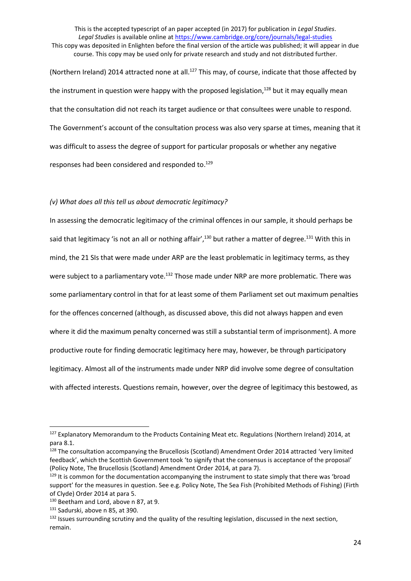This is the accepted typescript of an paper accepted (in 2017) for publication in *Legal Studies*. *Legal Studies* is available online at<https://www.cambridge.org/core/journals/legal-studies> This copy was deposited in Enlighten before the final version of the article was published; it will appear in due course. This copy may be used only for private research and study and not distributed further. (Northern Ireland) 2014 attracted none at all.<sup>127</sup> This may, of course, indicate that those affected by the instrument in question were happy with the proposed legislation,<sup>128</sup> but it may equally mean that the consultation did not reach its target audience or that consultees were unable to respond.

The Government's account of the consultation process was also very sparse at times, meaning that it was difficult to assess the degree of support for particular proposals or whether any negative responses had been considered and responded to.<sup>129</sup>

# *(v) What does all this tell us about democratic legitimacy?*

In assessing the democratic legitimacy of the criminal offences in our sample, it should perhaps be said that legitimacy 'is not an all or nothing affair',<sup>130</sup> but rather a matter of degree.<sup>131</sup> With this in mind, the 21 SIs that were made under ARP are the least problematic in legitimacy terms, as they were subject to a parliamentary vote.<sup>132</sup> Those made under NRP are more problematic. There was some parliamentary control in that for at least some of them Parliament set out maximum penalties for the offences concerned (although, as discussed above, this did not always happen and even where it did the maximum penalty concerned was still a substantial term of imprisonment). A more productive route for finding democratic legitimacy here may, however, be through participatory legitimacy. Almost all of the instruments made under NRP did involve some degree of consultation with affected interests. Questions remain, however, over the degree of legitimacy this bestowed, as

<sup>127</sup> Explanatory Memorandum to the Products Containing Meat etc. Regulations (Northern Ireland) 2014, at para 8.1.

<sup>&</sup>lt;sup>128</sup> The consultation accompanying the Brucellosis (Scotland) Amendment Order 2014 attracted 'very limited feedback', which the Scottish Government took 'to signify that the consensus is acceptance of the proposal' (Policy Note, The Brucellosis (Scotland) Amendment Order 2014, at para 7).

 $129$  It is common for the documentation accompanying the instrument to state simply that there was 'broad support' for the measures in question. See e.g. Policy Note, The Sea Fish (Prohibited Methods of Fishing) (Firth of Clyde) Order 2014 at para 5.

<sup>130</sup> Beetham and Lord, above n 87, at 9.

<sup>131</sup> Sadurski, above n 85, at 390.

 $132$  Issues surrounding scrutiny and the quality of the resulting legislation, discussed in the next section, remain.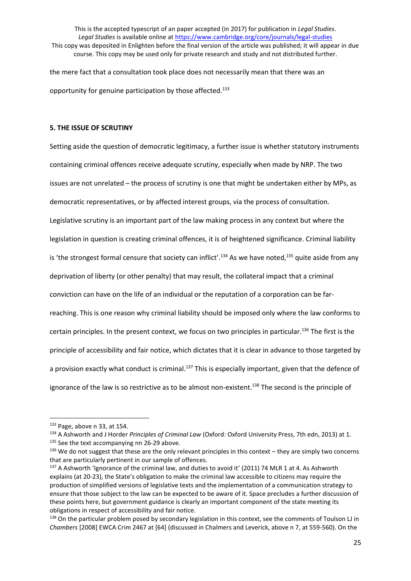the mere fact that a consultation took place does not necessarily mean that there was an opportunity for genuine participation by those affected.<sup>133</sup>

# **5. THE ISSUE OF SCRUTINY**

Setting aside the question of democratic legitimacy, a further issue is whether statutory instruments containing criminal offences receive adequate scrutiny, especially when made by NRP. The two issues are not unrelated – the process of scrutiny is one that might be undertaken either by MPs, as democratic representatives, or by affected interest groups, via the process of consultation. Legislative scrutiny is an important part of the law making process in any context but where the legislation in question is creating criminal offences, it is of heightened significance. Criminal liability is 'the strongest formal censure that society can inflict'.<sup>134</sup> As we have noted,<sup>135</sup> quite aside from any deprivation of liberty (or other penalty) that may result, the collateral impact that a criminal conviction can have on the life of an individual or the reputation of a corporation can be farreaching. This is one reason why criminal liability should be imposed only where the law conforms to certain principles. In the present context, we focus on two principles in particular.<sup>136</sup> The first is the principle of accessibility and fair notice, which dictates that it is clear in advance to those targeted by a provision exactly what conduct is criminal.<sup>137</sup> This is especially important, given that the defence of ignorance of the law is so restrictive as to be almost non-existent.<sup>138</sup> The second is the principle of

<sup>133</sup> Page, above n 33, at 154.

<sup>134</sup> A Ashworth and J Horder *Principles of Criminal Law* (Oxford: Oxford University Press, 7th edn, 2013) at 1.

<sup>&</sup>lt;sup>135</sup> See the text accompanying nn 26-29 above.

 $136$  We do not suggest that these are the only relevant principles in this context – they are simply two concerns that are particularly pertinent in our sample of offences.

<sup>&</sup>lt;sup>137</sup> A Ashworth 'Ignorance of the criminal law, and duties to avoid it' (2011) 74 MLR 1 at 4. As Ashworth explains (at 20-23), the State's obligation to make the criminal law accessible to citizens may require the production of simplified versions of legislative texts and the implementation of a communication strategy to ensure that those subject to the law can be expected to be aware of it. Space precludes a further discussion of these points here, but government guidance is clearly an important component of the state meeting its obligations in respect of accessibility and fair notice.

 $138$  On the particular problem posed by secondary legislation in this context, see the comments of Toulson LJ in *Chambers* [2008] EWCA Crim 2467 at [64] (discussed in Chalmers and Leverick, above n 7, at 559-560). On the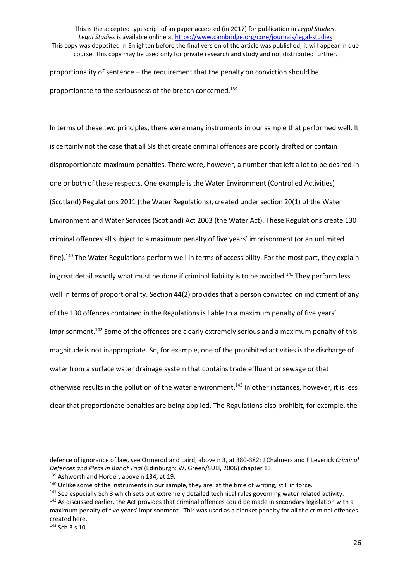proportionality of sentence – the requirement that the penalty on conviction should be proportionate to the seriousness of the breach concerned.<sup>139</sup>

In terms of these two principles, there were many instruments in our sample that performed well. It is certainly not the case that all SIs that create criminal offences are poorly drafted or contain disproportionate maximum penalties. There were, however, a number that left a lot to be desired in one or both of these respects. One example is the Water Environment (Controlled Activities) (Scotland) Regulations 2011 (the Water Regulations), created under section 20(1) of the Water Environment and Water Services (Scotland) Act 2003 (the Water Act). These Regulations create 130 criminal offences all subject to a maximum penalty of five years' imprisonment (or an unlimited fine).<sup>140</sup> The Water Regulations perform well in terms of accessibility. For the most part, they explain in great detail exactly what must be done if criminal liability is to be avoided.<sup>141</sup> They perform less well in terms of proportionality. Section 44(2) provides that a person convicted on indictment of any of the 130 offences contained in the Regulations is liable to a maximum penalty of five years' imprisonment.<sup>142</sup> Some of the offences are clearly extremely serious and a maximum penalty of this magnitude is not inappropriate. So, for example, one of the prohibited activities is the discharge of water from a surface water drainage system that contains trade effluent or sewage or that otherwise results in the pollution of the water environment.<sup>143</sup> In other instances, however, it is less clear that proportionate penalties are being applied. The Regulations also prohibit, for example, the

defence of ignorance of law, see Ormerod and Laird, above n 3, at 380-382; J Chalmers and F Leverick *Criminal Defences and Pleas in Bar of Trial* (Edinburgh: W. Green/SULI, 2006) chapter 13.

<sup>139</sup> Ashworth and Horder, above n 134, at 19.

<sup>&</sup>lt;sup>140</sup> Unlike some of the instruments in our sample, they are, at the time of writing, still in force.

<sup>&</sup>lt;sup>141</sup> See especially Sch 3 which sets out extremely detailed technical rules governing water related activity. <sup>142</sup> As discussed earlier, the Act provides that criminal offences could be made in secondary legislation with a

maximum penalty of five years' imprisonment. This was used as a blanket penalty for all the criminal offences created here.

<sup>143</sup> Sch 3 s 10.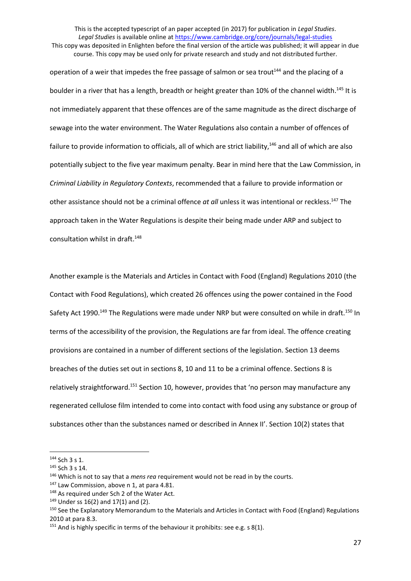operation of a weir that impedes the free passage of salmon or sea trout<sup>144</sup> and the placing of a boulder in a river that has a length, breadth or height greater than 10% of the channel width.<sup>145</sup> It is not immediately apparent that these offences are of the same magnitude as the direct discharge of sewage into the water environment. The Water Regulations also contain a number of offences of failure to provide information to officials, all of which are strict liability,<sup>146</sup> and all of which are also potentially subject to the five year maximum penalty. Bear in mind here that the Law Commission, in *Criminal Liability in Regulatory Contexts*, recommended that a failure to provide information or other assistance should not be a criminal offence *at all* unless it was intentional or reckless. <sup>147</sup> The approach taken in the Water Regulations is despite their being made under ARP and subject to consultation whilst in draft. 148

Another example is the Materials and Articles in Contact with Food (England) Regulations 2010 (the Contact with Food Regulations), which created 26 offences using the power contained in the Food Safety Act 1990.<sup>149</sup> The Regulations were made under NRP but were consulted on while in draft.<sup>150</sup> In terms of the accessibility of the provision, the Regulations are far from ideal. The offence creating provisions are contained in a number of different sections of the legislation. Section 13 deems breaches of the duties set out in sections 8, 10 and 11 to be a criminal offence. Sections 8 is relatively straightforward.<sup>151</sup> Section 10, however, provides that 'no person may manufacture any regenerated cellulose film intended to come into contact with food using any substance or group of substances other than the substances named or described in Annex II'. Section 10(2) states that

 $144$  Sch 3 s 1.

<sup>145</sup> Sch 3 s 14.

<sup>146</sup> Which is not to say that a *mens rea* requirement would not be read in by the courts.

<sup>147</sup> Law Commission, above n 1, at para 4.81.

<sup>148</sup> As required under Sch 2 of the Water Act.

 $149$  Under ss 16(2) and 17(1) and (2).

<sup>&</sup>lt;sup>150</sup> See the Explanatory Memorandum to the Materials and Articles in Contact with Food (England) Regulations 2010 at para 8.3.

 $151$  And is highly specific in terms of the behaviour it prohibits: see e.g. s 8(1).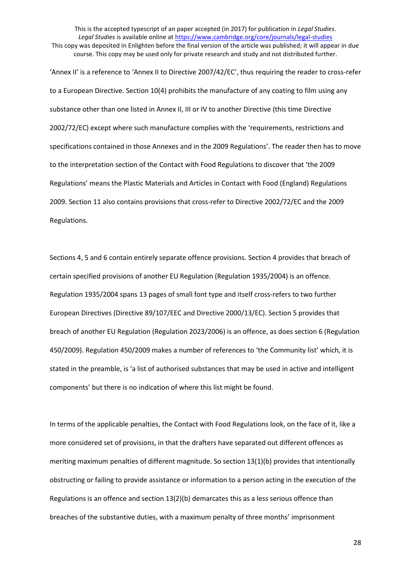'Annex II' is a reference to 'Annex II to Directive 2007/42/EC', thus requiring the reader to cross-refer to a European Directive. Section 10(4) prohibits the manufacture of any coating to film using any substance other than one listed in Annex II, III or IV to another Directive (this time Directive 2002/72/EC) except where such manufacture complies with the 'requirements, restrictions and specifications contained in those Annexes and in the 2009 Regulations'. The reader then has to move to the interpretation section of the Contact with Food Regulations to discover that 'the 2009 Regulations' means the Plastic Materials and Articles in Contact with Food (England) Regulations 2009. Section 11 also contains provisions that cross-refer to Directive 2002/72/EC and the 2009 Regulations.

Sections 4, 5 and 6 contain entirely separate offence provisions. Section 4 provides that breach of certain specified provisions of another EU Regulation (Regulation 1935/2004) is an offence. Regulation 1935/2004 spans 13 pages of small font type and itself cross-refers to two further European Directives (Directive 89/107/EEC and Directive 2000/13/EC). Section 5 provides that breach of another EU Regulation (Regulation 2023/2006) is an offence, as does section 6 (Regulation 450/2009). Regulation 450/2009 makes a number of references to 'the Community list' which, it is stated in the preamble, is 'a list of authorised substances that may be used in active and intelligent components' but there is no indication of where this list might be found.

In terms of the applicable penalties, the Contact with Food Regulations look, on the face of it, like a more considered set of provisions, in that the drafters have separated out different offences as meriting maximum penalties of different magnitude. So section 13(1)(b) provides that intentionally obstructing or failing to provide assistance or information to a person acting in the execution of the Regulations is an offence and section 13(2)(b) demarcates this as a less serious offence than breaches of the substantive duties, with a maximum penalty of three months' imprisonment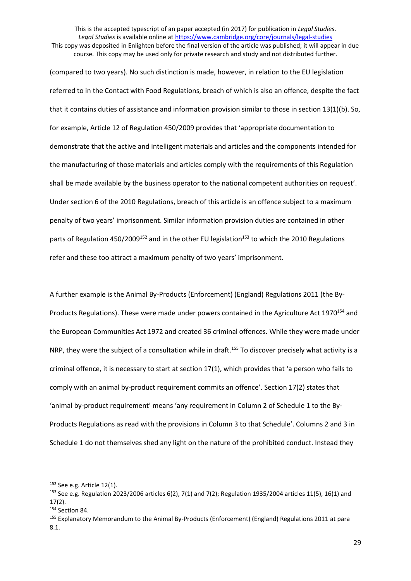This is the accepted typescript of an paper accepted (in 2017) for publication in *Legal Studies*. *Legal Studies* is available online at<https://www.cambridge.org/core/journals/legal-studies> This copy was deposited in Enlighten before the final version of the article was published; it will appear in due

course. This copy may be used only for private research and study and not distributed further.

(compared to two years). No such distinction is made, however, in relation to the EU legislation referred to in the Contact with Food Regulations, breach of which is also an offence, despite the fact that it contains duties of assistance and information provision similar to those in section 13(1)(b). So, for example, Article 12 of Regulation 450/2009 provides that 'appropriate documentation to demonstrate that the active and intelligent materials and articles and the components intended for the manufacturing of those materials and articles comply with the requirements of this Regulation shall be made available by the business operator to the national competent authorities on request'. Under section 6 of the 2010 Regulations, breach of this article is an offence subject to a maximum penalty of two years' imprisonment. Similar information provision duties are contained in other parts of Regulation 450/2009<sup>152</sup> and in the other EU legislation<sup>153</sup> to which the 2010 Regulations refer and these too attract a maximum penalty of two years' imprisonment.

A further example is the Animal By-Products (Enforcement) (England) Regulations 2011 (the By-Products Regulations). These were made under powers contained in the Agriculture Act 1970<sup>154</sup> and the European Communities Act 1972 and created 36 criminal offences. While they were made under NRP, they were the subject of a consultation while in draft.<sup>155</sup> To discover precisely what activity is a criminal offence, it is necessary to start at section 17(1), which provides that 'a person who fails to comply with an animal by-product requirement commits an offence'. Section 17(2) states that 'animal by-product requirement' means 'any requirement in Column 2 of Schedule 1 to the By-Products Regulations as read with the provisions in Column 3 to that Schedule'. Columns 2 and 3 in Schedule 1 do not themselves shed any light on the nature of the prohibited conduct. Instead they

<sup>&</sup>lt;sup>152</sup> See e.g. Article 12(1).

<sup>153</sup> See e.g. Regulation 2023/2006 articles 6(2), 7(1) and 7(2); Regulation 1935/2004 articles 11(5), 16(1) and 17(2).

<sup>154</sup> Section 84.

<sup>&</sup>lt;sup>155</sup> Explanatory Memorandum to the Animal By-Products (Enforcement) (England) Regulations 2011 at para 8.1.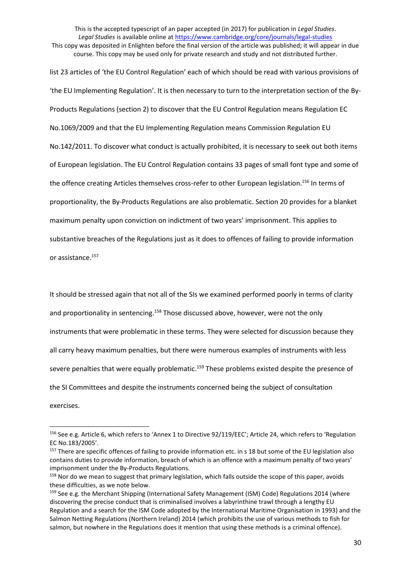This is the accepted typescript of an paper accepted (in 2017) for publication in *Legal Studies*. *Legal Studies* is available online at<https://www.cambridge.org/core/journals/legal-studies>

This copy was deposited in Enlighten before the final version of the article was published; it will appear in due course. This copy may be used only for private research and study and not distributed further.

list 23 articles of 'the EU Control Regulation' each of which should be read with various provisions of 'the EU Implementing Regulation'. It is then necessary to turn to the interpretation section of the By-Products Regulations (section 2) to discover that the EU Control Regulation means Regulation EC No.1069/2009 and that the EU Implementing Regulation means Commission Regulation EU No.142/2011. To discover what conduct is actually prohibited, it is necessary to seek out both items of European legislation. The EU Control Regulation contains 33 pages of small font type and some of the offence creating Articles themselves cross-refer to other European legislation. <sup>156</sup> In terms of proportionality, the By-Products Regulations are also problematic. Section 20 provides for a blanket maximum penalty upon conviction on indictment of two years' imprisonment. This applies to substantive breaches of the Regulations just as it does to offences of failing to provide information or assistance.<sup>157</sup>

It should be stressed again that not all of the SIs we examined performed poorly in terms of clarity and proportionality in sentencing.<sup>158</sup> Those discussed above, however, were not the only instruments that were problematic in these terms. They were selected for discussion because they all carry heavy maximum penalties, but there were numerous examples of instruments with less severe penalties that were equally problematic.<sup>159</sup> These problems existed despite the presence of the SI Committees and despite the instruments concerned being the subject of consultation exercises.

<sup>156</sup> See e.g. Article 6, which refers to 'Annex 1 to Directive 92/119/EEC'; Article 24, which refers to 'Regulation EC No.183/2005'.

<sup>&</sup>lt;sup>157</sup> There are specific offences of failing to provide information etc. in s 18 but some of the EU legislation also contains duties to provide information, breach of which is an offence with a maximum penalty of two years' imprisonment under the By-Products Regulations.

<sup>&</sup>lt;sup>158</sup> Nor do we mean to suggest that primary legislation, which falls outside the scope of this paper, avoids these difficulties, as we note below.

<sup>159</sup> See e.g. the Merchant Shipping (International Safety Management (ISM) Code) Regulations 2014 (where discovering the precise conduct that is criminalised involves a labyrinthine trawl through a lengthy EU Regulation and a search for the ISM Code adopted by the International Maritime Organisation in 1993) and the Salmon Netting Regulations (Northern Ireland) 2014 (which prohibits the use of various methods to fish for salmon, but nowhere in the Regulations does it mention that using these methods is a criminal offence).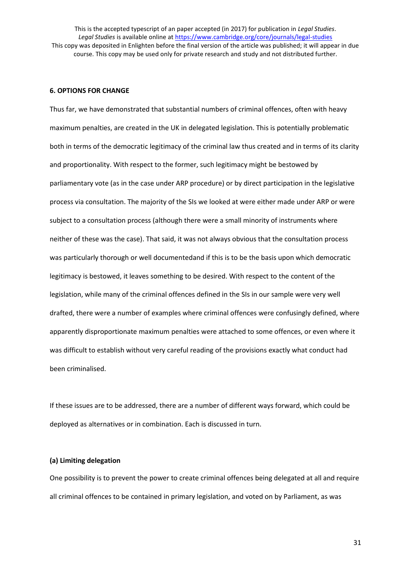#### **6. OPTIONS FOR CHANGE**

Thus far, we have demonstrated that substantial numbers of criminal offences, often with heavy maximum penalties, are created in the UK in delegated legislation. This is potentially problematic both in terms of the democratic legitimacy of the criminal law thus created and in terms of its clarity and proportionality. With respect to the former, such legitimacy might be bestowed by parliamentary vote (as in the case under ARP procedure) or by direct participation in the legislative process via consultation. The majority of the SIs we looked at were either made under ARP or were subject to a consultation process (although there were a small minority of instruments where neither of these was the case). That said, it was not always obvious that the consultation process was particularly thorough or well documentedand if this is to be the basis upon which democratic legitimacy is bestowed, it leaves something to be desired. With respect to the content of the legislation, while many of the criminal offences defined in the SIs in our sample were very well drafted, there were a number of examples where criminal offences were confusingly defined, where apparently disproportionate maximum penalties were attached to some offences, or even where it was difficult to establish without very careful reading of the provisions exactly what conduct had been criminalised.

If these issues are to be addressed, there are a number of different ways forward, which could be deployed as alternatives or in combination. Each is discussed in turn.

#### **(a) Limiting delegation**

One possibility is to prevent the power to create criminal offences being delegated at all and require all criminal offences to be contained in primary legislation, and voted on by Parliament, as was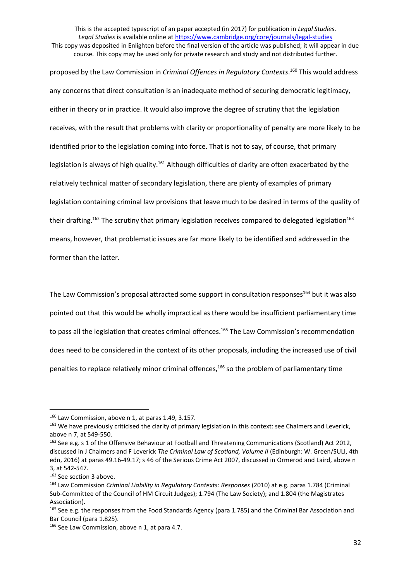This is the accepted typescript of an paper accepted (in 2017) for publication in *Legal Studies*. *Legal Studies* is available online at<https://www.cambridge.org/core/journals/legal-studies> This copy was deposited in Enlighten before the final version of the article was published; it will appear in due

course. This copy may be used only for private research and study and not distributed further.

proposed by the Law Commission in *Criminal Offences in Regulatory Contexts*. <sup>160</sup> This would address any concerns that direct consultation is an inadequate method of securing democratic legitimacy, either in theory or in practice. It would also improve the degree of scrutiny that the legislation receives, with the result that problems with clarity or proportionality of penalty are more likely to be identified prior to the legislation coming into force. That is not to say, of course, that primary legislation is always of high quality.<sup>161</sup> Although difficulties of clarity are often exacerbated by the relatively technical matter of secondary legislation, there are plenty of examples of primary legislation containing criminal law provisions that leave much to be desired in terms of the quality of their drafting.<sup>162</sup> The scrutiny that primary legislation receives compared to delegated legislation<sup>163</sup> means, however, that problematic issues are far more likely to be identified and addressed in the former than the latter.

The Law Commission's proposal attracted some support in consultation responses<sup>164</sup> but it was also pointed out that this would be wholly impractical as there would be insufficient parliamentary time to pass all the legislation that creates criminal offences.<sup>165</sup> The Law Commission's recommendation does need to be considered in the context of its other proposals, including the increased use of civil penalties to replace relatively minor criminal offences,<sup>166</sup> so the problem of parliamentary time

 $160$  Law Commission, above n 1, at paras 1.49, 3.157.

<sup>&</sup>lt;sup>161</sup> We have previously criticised the clarity of primary legislation in this context: see Chalmers and Leverick, above n 7, at 549-550.

<sup>&</sup>lt;sup>162</sup> See e.g. s 1 of the Offensive Behaviour at Football and Threatening Communications (Scotland) Act 2012, discussed in J Chalmers and F Leverick *The Criminal Law of Scotland, Volume II* (Edinburgh: W. Green/SULI, 4th edn, 2016) at paras 49.16-49.17; s 46 of the Serious Crime Act 2007, discussed in Ormerod and Laird, above n 3, at 542-547.

<sup>&</sup>lt;sup>163</sup> See section 3 above.

<sup>164</sup> Law Commission *Criminal Liability in Regulatory Contexts: Responses* (2010) at e.g. paras 1.784 (Criminal Sub-Committee of the Council of HM Circuit Judges); 1.794 (The Law Society); and 1.804 (the Magistrates Association).

<sup>&</sup>lt;sup>165</sup> See e.g. the responses from the Food Standards Agency (para 1.785) and the Criminal Bar Association and Bar Council (para 1.825).

<sup>166</sup> See Law Commission, above n 1, at para 4.7.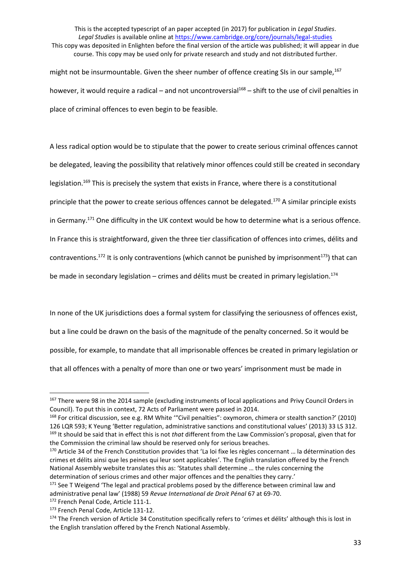This is the accepted typescript of an paper accepted (in 2017) for publication in *Legal Studies*. *Legal Studies* is available online at<https://www.cambridge.org/core/journals/legal-studies> This copy was deposited in Enlighten before the final version of the article was published; it will appear in due course. This copy may be used only for private research and study and not distributed further. might not be insurmountable. Given the sheer number of offence creating SIs in our sample,<sup>167</sup>

however, it would require a radical – and not uncontroversial<sup>168</sup> – shift to the use of civil penalties in place of criminal offences to even begin to be feasible.

A less radical option would be to stipulate that the power to create serious criminal offences cannot be delegated, leaving the possibility that relatively minor offences could still be created in secondary legislation.<sup>169</sup> This is precisely the system that exists in France, where there is a constitutional principle that the power to create serious offences cannot be delegated.<sup>170</sup> A similar principle exists in Germany.<sup>171</sup> One difficulty in the UK context would be how to determine what is a serious offence. In France this is straightforward, given the three tier classification of offences into crimes, délits and contraventions.<sup>172</sup> It is only contraventions (which cannot be punished by imprisonment<sup>173</sup>) that can be made in secondary legislation – crimes and délits must be created in primary legislation.<sup>174</sup>

In none of the UK jurisdictions does a formal system for classifying the seriousness of offences exist, but a line could be drawn on the basis of the magnitude of the penalty concerned. So it would be possible, for example, to mandate that all imprisonable offences be created in primary legislation or that all offences with a penalty of more than one or two years' imprisonment must be made in

 $\overline{a}$ 

<sup>&</sup>lt;sup>167</sup> There were 98 in the 2014 sample (excluding instruments of local applications and Privy Council Orders in Council). To put this in context, 72 Acts of Parliament were passed in 2014.

<sup>&</sup>lt;sup>168</sup> For critical discussion, see e.g. RM White ""Civil penalties": oxymoron, chimera or stealth sanction?' (2010) 126 LQR 593; K Yeung 'Better regulation, administrative sanctions and constitutional values' (2013) 33 LS 312. <sup>169</sup> It should be said that in effect this is not *that* different from the Law Commission's proposal, given that for the Commission the criminal law should be reserved only for serious breaches.

<sup>170</sup> Article 34 of the French Constitution provides that 'La loi fixe les règles concernant … la détermination des crimes et délits ainsi que les peines qui leur sont applicables'. The English translation offered by the French National Assembly website translates this as: 'Statutes shall determine … the rules concerning the determination of serious crimes and other major offences and the penalties they carry.'

<sup>&</sup>lt;sup>171</sup> See T Weigend 'The legal and practical problems posed by the difference between criminal law and administrative penal law' (1988) 59 *Revue International de Droit Pénal* 67 at 69-70.

<sup>172</sup> French Penal Code, Article 111-1.

<sup>173</sup> French Penal Code, Article 131-12.

<sup>174</sup> The French version of Article 34 Constitution specifically refers to 'crimes et délits' although this is lost in the English translation offered by the French National Assembly.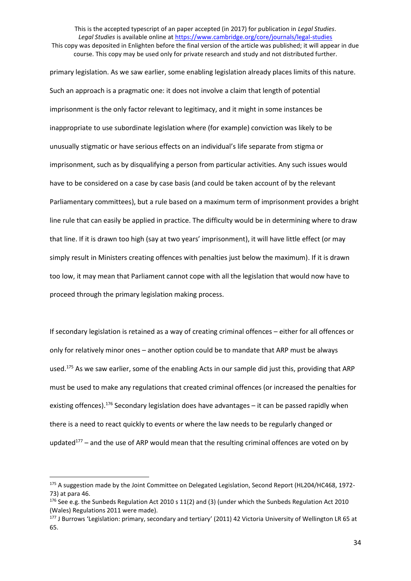primary legislation. As we saw earlier, some enabling legislation already places limits of this nature. Such an approach is a pragmatic one: it does not involve a claim that length of potential imprisonment is the only factor relevant to legitimacy, and it might in some instances be inappropriate to use subordinate legislation where (for example) conviction was likely to be unusually stigmatic or have serious effects on an individual's life separate from stigma or imprisonment, such as by disqualifying a person from particular activities. Any such issues would have to be considered on a case by case basis (and could be taken account of by the relevant Parliamentary committees), but a rule based on a maximum term of imprisonment provides a bright line rule that can easily be applied in practice. The difficulty would be in determining where to draw that line. If it is drawn too high (say at two years' imprisonment), it will have little effect (or may simply result in Ministers creating offences with penalties just below the maximum). If it is drawn too low, it may mean that Parliament cannot cope with all the legislation that would now have to proceed through the primary legislation making process.

If secondary legislation is retained as a way of creating criminal offences – either for all offences or only for relatively minor ones – another option could be to mandate that ARP must be always used.<sup>175</sup> As we saw earlier, some of the enabling Acts in our sample did just this, providing that ARP must be used to make any regulations that created criminal offences (or increased the penalties for existing offences).<sup>176</sup> Secondary legislation does have advantages – it can be passed rapidly when there is a need to react quickly to events or where the law needs to be regularly changed or updated $177$  – and the use of ARP would mean that the resulting criminal offences are voted on by

<sup>175</sup> A suggestion made by the Joint Committee on Delegated Legislation, Second Report (HL204/HC468, 1972-73) at para 46.

<sup>&</sup>lt;sup>176</sup> See e.g. the Sunbeds Regulation Act 2010 s 11(2) and (3) (under which the Sunbeds Regulation Act 2010 (Wales) Regulations 2011 were made).

<sup>177</sup> J Burrows 'Legislation: primary, secondary and tertiary' (2011) 42 Victoria University of Wellington LR 65 at 65.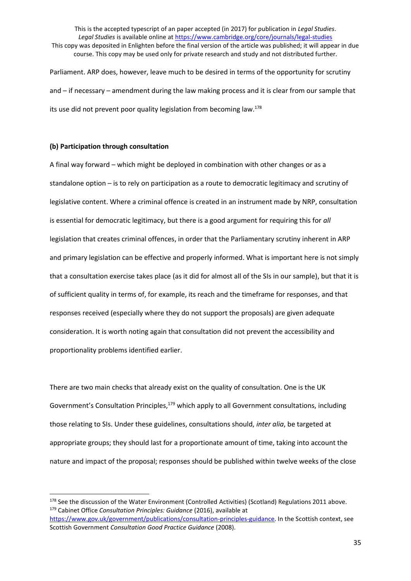Parliament. ARP does, however, leave much to be desired in terms of the opportunity for scrutiny and – if necessary – amendment during the law making process and it is clear from our sample that its use did not prevent poor quality legislation from becoming law.<sup>178</sup>

## **(b) Participation through consultation**

1

A final way forward – which might be deployed in combination with other changes or as a standalone option – is to rely on participation as a route to democratic legitimacy and scrutiny of legislative content. Where a criminal offence is created in an instrument made by NRP, consultation is essential for democratic legitimacy, but there is a good argument for requiring this for *all* legislation that creates criminal offences, in order that the Parliamentary scrutiny inherent in ARP and primary legislation can be effective and properly informed. What is important here is not simply that a consultation exercise takes place (as it did for almost all of the SIs in our sample), but that it is of sufficient quality in terms of, for example, its reach and the timeframe for responses, and that responses received (especially where they do not support the proposals) are given adequate consideration. It is worth noting again that consultation did not prevent the accessibility and proportionality problems identified earlier.

There are two main checks that already exist on the quality of consultation. One is the UK Government's Consultation Principles,<sup>179</sup> which apply to all Government consultations, including those relating to SIs. Under these guidelines, consultations should, *inter alia*, be targeted at appropriate groups; they should last for a proportionate amount of time, taking into account the nature and impact of the proposal; responses should be published within twelve weeks of the close

<sup>&</sup>lt;sup>178</sup> See the discussion of the Water Environment (Controlled Activities) (Scotland) Regulations 2011 above. <sup>179</sup> Cabinet Office *Consultation Principles: Guidance* (2016), available at

[https://www.gov.uk/government/publications/consultation-principles-guidance.](https://www.gov.uk/government/publications/consultation-principles-guidance) In the Scottish context, see Scottish Government *Consultation Good Practice Guidance* (2008).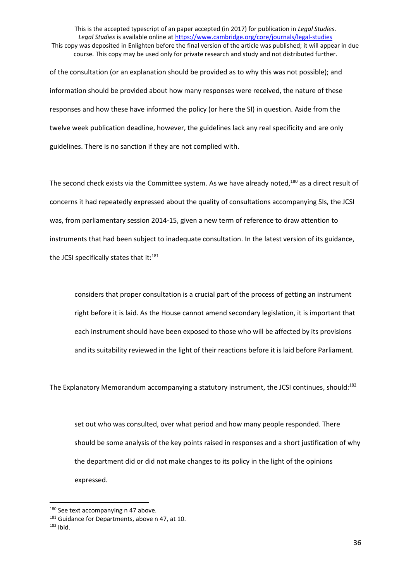of the consultation (or an explanation should be provided as to why this was not possible); and information should be provided about how many responses were received, the nature of these responses and how these have informed the policy (or here the SI) in question. Aside from the twelve week publication deadline, however, the guidelines lack any real specificity and are only guidelines. There is no sanction if they are not complied with.

The second check exists via the Committee system. As we have already noted,<sup>180</sup> as a direct result of concerns it had repeatedly expressed about the quality of consultations accompanying SIs, the JCSI was, from parliamentary session 2014-15, given a new term of reference to draw attention to instruments that had been subject to inadequate consultation. In the latest version of its guidance, the JCSI specifically states that it:<sup>181</sup>

considers that proper consultation is a crucial part of the process of getting an instrument right before it is laid. As the House cannot amend secondary legislation, it is important that each instrument should have been exposed to those who will be affected by its provisions and its suitability reviewed in the light of their reactions before it is laid before Parliament.

The Explanatory Memorandum accompanying a statutory instrument, the JCSI continues, should:<sup>182</sup>

set out who was consulted, over what period and how many people responded. There should be some analysis of the key points raised in responses and a short justification of why the department did or did not make changes to its policy in the light of the opinions expressed.

<sup>&</sup>lt;sup>180</sup> See text accompanying n 47 above.

<sup>181</sup> Guidance for Departments, above n 47, at 10.

 $182$  Ibid.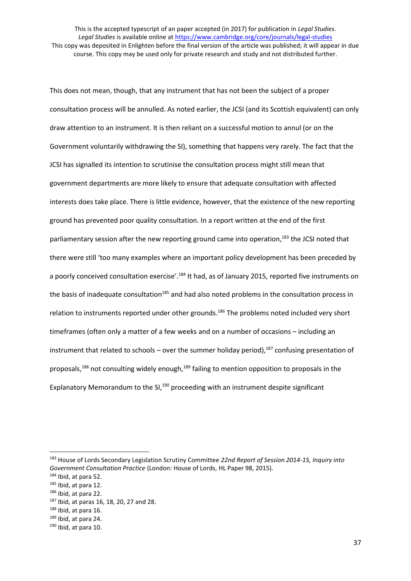This does not mean, though, that any instrument that has not been the subject of a proper consultation process will be annulled. As noted earlier, the JCSI (and its Scottish equivalent) can only draw attention to an instrument. It is then reliant on a successful motion to annul (or on the Government voluntarily withdrawing the SI), something that happens very rarely. The fact that the JCSI has signalled its intention to scrutinise the consultation process might still mean that government departments are more likely to ensure that adequate consultation with affected interests does take place. There is little evidence, however, that the existence of the new reporting ground has prevented poor quality consultation. In a report written at the end of the first parliamentary session after the new reporting ground came into operation,<sup>183</sup> the JCSI noted that there were still 'too many examples where an important policy development has been preceded by a poorly conceived consultation exercise'.<sup>184</sup> It had, as of January 2015, reported five instruments on the basis of inadequate consultation<sup>185</sup> and had also noted problems in the consultation process in relation to instruments reported under other grounds.<sup>186</sup> The problems noted included very short timeframes (often only a matter of a few weeks and on a number of occasions – including an instrument that related to schools – over the summer holiday period),<sup>187</sup> confusing presentation of proposals,<sup>188</sup> not consulting widely enough,<sup>189</sup> failing to mention opposition to proposals in the Explanatory Memorandum to the SI,<sup>190</sup> proceeding with an instrument despite significant

<sup>183</sup> House of Lords Secondary Legislation Scrutiny Committee *22nd Report of Session 2014-15, Inquiry into Government Consultation Practice* (London: House of Lords, HL Paper 98, 2015).

<sup>184</sup> Ibid, at para 52.

<sup>185</sup> Ibid, at para 12.

<sup>186</sup> Ibid, at para 22.

<sup>187</sup> Ibid, at paras 16, 18, 20, 27 and 28.

<sup>188</sup> Ibid, at para 16.

<sup>189</sup> Ibid, at para 24.

 $190$  Ibid, at para 10.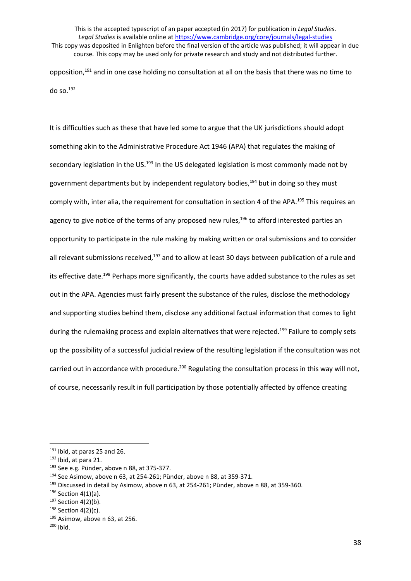This is the accepted typescript of an paper accepted (in 2017) for publication in *Legal Studies*. *Legal Studies* is available online at<https://www.cambridge.org/core/journals/legal-studies> This copy was deposited in Enlighten before the final version of the article was published; it will appear in due course. This copy may be used only for private research and study and not distributed further. opposition,<sup>191</sup> and in one case holding no consultation at all on the basis that there was no time to

do so.<sup>192</sup>

It is difficulties such as these that have led some to argue that the UK jurisdictions should adopt something akin to the Administrative Procedure Act 1946 (APA) that regulates the making of secondary legislation in the US.<sup>193</sup> In the US delegated legislation is most commonly made not by government departments but by independent regulatory bodies,<sup>194</sup> but in doing so they must comply with, inter alia, the requirement for consultation in section 4 of the APA.<sup>195</sup> This requires an agency to give notice of the terms of any proposed new rules, $196$  to afford interested parties an opportunity to participate in the rule making by making written or oral submissions and to consider all relevant submissions received,<sup>197</sup> and to allow at least 30 days between publication of a rule and its effective date.<sup>198</sup> Perhaps more significantly, the courts have added substance to the rules as set out in the APA. Agencies must fairly present the substance of the rules, disclose the methodology and supporting studies behind them, disclose any additional factual information that comes to light during the rulemaking process and explain alternatives that were rejected.<sup>199</sup> Failure to comply sets up the possibility of a successful judicial review of the resulting legislation if the consultation was not carried out in accordance with procedure.<sup>200</sup> Regulating the consultation process in this way will not, of course, necessarily result in full participation by those potentially affected by offence creating

 $191$  Ibid, at paras 25 and 26.

 $192$  Ibid, at para 21.

<sup>193</sup> See e.g. Pünder, above n 88, at 375-377.

<sup>194</sup> See Asimow, above n 63, at 254-261; Pünder, above n 88, at 359-371.

<sup>&</sup>lt;sup>195</sup> Discussed in detail by Asimow, above n 63, at 254-261; Pünder, above n 88, at 359-360.

 $196$  Section 4(1)(a).

 $197$  Section 4(2)(b).

<sup>198</sup> Section 4(2)(c).

 $199$  Asimow, above n 63, at 256.

 $200$  Ibid.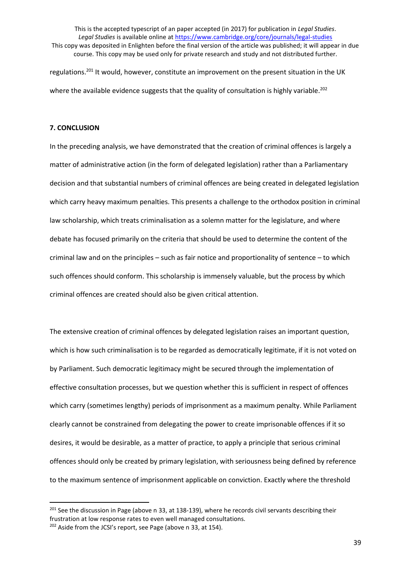regulations.<sup>201</sup> It would, however, constitute an improvement on the present situation in the UK where the available evidence suggests that the quality of consultation is highly variable.<sup>202</sup>

# **7. CONCLUSION**

**.** 

In the preceding analysis, we have demonstrated that the creation of criminal offences is largely a matter of administrative action (in the form of delegated legislation) rather than a Parliamentary decision and that substantial numbers of criminal offences are being created in delegated legislation which carry heavy maximum penalties. This presents a challenge to the orthodox position in criminal law scholarship, which treats criminalisation as a solemn matter for the legislature, and where debate has focused primarily on the criteria that should be used to determine the content of the criminal law and on the principles – such as fair notice and proportionality of sentence – to which such offences should conform. This scholarship is immensely valuable, but the process by which criminal offences are created should also be given critical attention.

The extensive creation of criminal offences by delegated legislation raises an important question, which is how such criminalisation is to be regarded as democratically legitimate, if it is not voted on by Parliament. Such democratic legitimacy might be secured through the implementation of effective consultation processes, but we question whether this is sufficient in respect of offences which carry (sometimes lengthy) periods of imprisonment as a maximum penalty. While Parliament clearly cannot be constrained from delegating the power to create imprisonable offences if it so desires, it would be desirable, as a matter of practice, to apply a principle that serious criminal offences should only be created by primary legislation, with seriousness being defined by reference to the maximum sentence of imprisonment applicable on conviction. Exactly where the threshold

<sup>&</sup>lt;sup>201</sup> See the discussion in Page (above n 33, at 138-139), where he records civil servants describing their frustration at low response rates to even well managed consultations. <sup>202</sup> Aside from the JCSI's report, see Page (above n 33, at 154).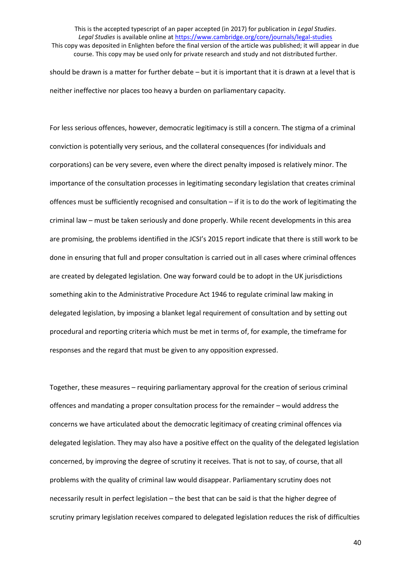should be drawn is a matter for further debate – but it is important that it is drawn at a level that is neither ineffective nor places too heavy a burden on parliamentary capacity.

For less serious offences, however, democratic legitimacy is still a concern. The stigma of a criminal conviction is potentially very serious, and the collateral consequences (for individuals and corporations) can be very severe, even where the direct penalty imposed is relatively minor. The importance of the consultation processes in legitimating secondary legislation that creates criminal offences must be sufficiently recognised and consultation – if it is to do the work of legitimating the criminal law – must be taken seriously and done properly. While recent developments in this area are promising, the problems identified in the JCSI's 2015 report indicate that there is still work to be done in ensuring that full and proper consultation is carried out in all cases where criminal offences are created by delegated legislation. One way forward could be to adopt in the UK jurisdictions something akin to the Administrative Procedure Act 1946 to regulate criminal law making in delegated legislation, by imposing a blanket legal requirement of consultation and by setting out procedural and reporting criteria which must be met in terms of, for example, the timeframe for responses and the regard that must be given to any opposition expressed.

Together, these measures – requiring parliamentary approval for the creation of serious criminal offences and mandating a proper consultation process for the remainder – would address the concerns we have articulated about the democratic legitimacy of creating criminal offences via delegated legislation. They may also have a positive effect on the quality of the delegated legislation concerned, by improving the degree of scrutiny it receives. That is not to say, of course, that all problems with the quality of criminal law would disappear. Parliamentary scrutiny does not necessarily result in perfect legislation – the best that can be said is that the higher degree of scrutiny primary legislation receives compared to delegated legislation reduces the risk of difficulties